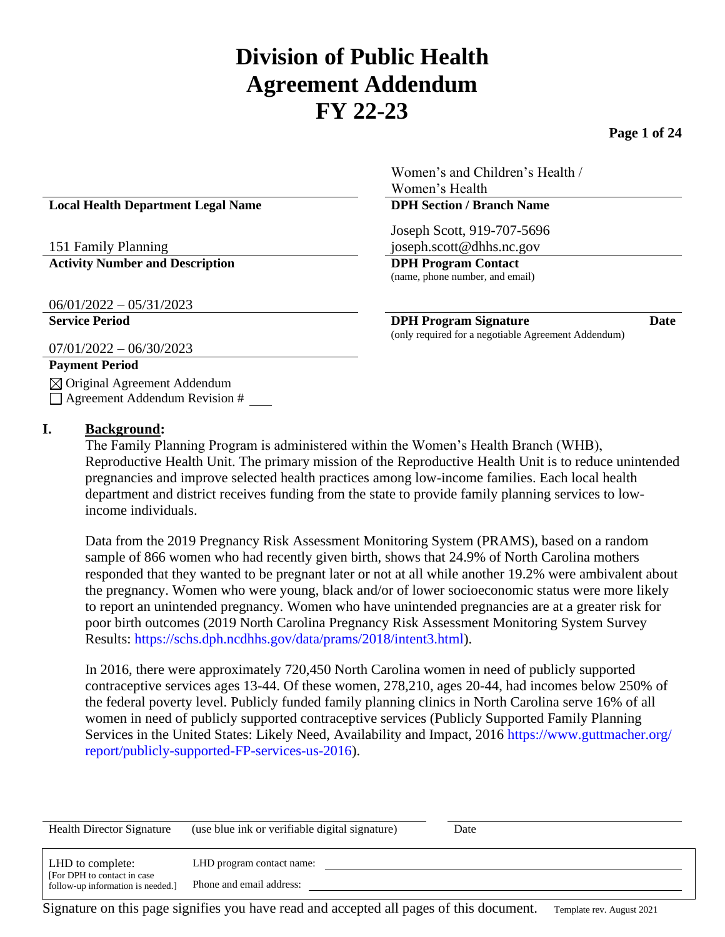# **Division of Public Health Agreement Addendum FY 22-23**

**Page 1 of 24**

#### **Local Health Department Legal Name DPH Section / Branch Name**

151 Family Planning Activity Number and Description **DPH Program Contact** 

06/01/2022 – 05/31/2023

Women's and Children's Health / Women's Health

Joseph Scott, 919-707-5696 joseph.scott@dhhs.nc.gov

(name, phone number, and email)

**Service Period DPH Program Signature Date** (only required for a negotiable Agreement Addendum)

07/01/2022 – 06/30/2023

# **Payment Period**

 $\boxtimes$  Original Agreement Addendum  $\Box$  Agreement Addendum Revision #

#### **I. Background:**

The Family Planning Program is administered within the Women's Health Branch (WHB), Reproductive Health Unit. The primary mission of the Reproductive Health Unit is to reduce unintended pregnancies and improve selected health practices among low-income families. Each local health department and district receives funding from the state to provide family planning services to lowincome individuals.

Data from the 2019 Pregnancy Risk Assessment Monitoring System (PRAMS), based on a random sample of 866 women who had recently given birth, shows that 24.9% of North Carolina mothers responded that they wanted to be pregnant later or not at all while another 19.2% were ambivalent about the pregnancy. Women who were young, black and/or of lower socioeconomic status were more likely to report an unintended pregnancy. Women who have unintended pregnancies are at a greater risk for poor birth outcomes (2019 North Carolina Pregnancy Risk Assessment Monitoring System Survey Results: [https://schs.dph.ncdhhs.gov/data/prams/2018/intent3.html\)](https://schs.dph.ncdhhs.gov/data/prams/2018/intent3.html).

In 2016, there were approximately 720,450 North Carolina women in need of publicly supported contraceptive services ages 13-44. Of these women, 278,210, ages 20-44, had incomes below 250% of the federal poverty level. Publicly funded family planning clinics in North Carolina serve 16% of all women in need of publicly supported contraceptive services (Publicly Supported Family Planning Services in the United States: Likely Need, Availability and Impact, 2016 [https://www.guttmacher.org/](https://www.guttmacher.org/report/publicly-supported-FP-services-us-2016)  [report/publicly-supported-FP-services-us-2016\)](https://www.guttmacher.org/report/publicly-supported-FP-services-us-2016).

| <b>Health Director Signature</b>                                                     | (use blue ink or verifiable digital signature)        | Date |
|--------------------------------------------------------------------------------------|-------------------------------------------------------|------|
| LHD to complete:<br>[For DPH to contact in case]<br>follow-up information is needed. | LHD program contact name:<br>Phone and email address: |      |

Signature on this page signifies you have read and accepted all pages of this document. Template rev. August 2021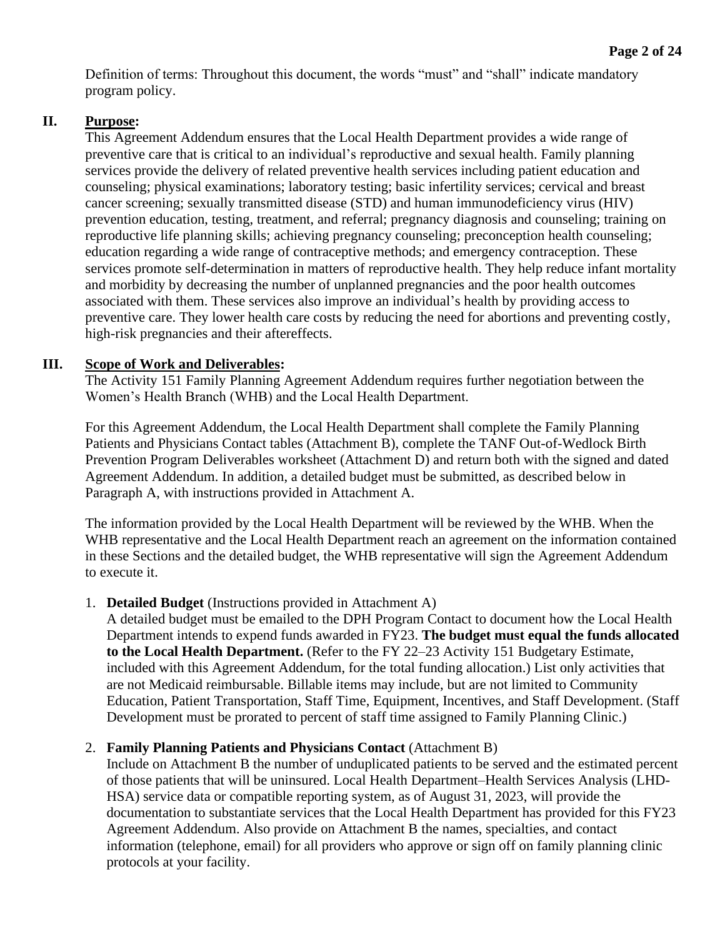Definition of terms: Throughout this document, the words "must" and "shall" indicate mandatory program policy.

## **II. Purpose:**

This Agreement Addendum ensures that the Local Health Department provides a wide range of preventive care that is critical to an individual's reproductive and sexual health. Family planning services provide the delivery of related preventive health services including patient education and counseling; physical examinations; laboratory testing; basic infertility services; cervical and breast cancer screening; sexually transmitted disease (STD) and human immunodeficiency virus (HIV) prevention education, testing, treatment, and referral; pregnancy diagnosis and counseling; training on reproductive life planning skills; achieving pregnancy counseling; preconception health counseling; education regarding a wide range of contraceptive methods; and emergency contraception. These services promote self-determination in matters of reproductive health. They help reduce infant mortality and morbidity by decreasing the number of unplanned pregnancies and the poor health outcomes associated with them. These services also improve an individual's health by providing access to preventive care. They lower health care costs by reducing the need for abortions and preventing costly, high-risk pregnancies and their aftereffects.

## **III. Scope of Work and Deliverables:**

The Activity 151 Family Planning Agreement Addendum requires further negotiation between the Women's Health Branch (WHB) and the Local Health Department.

For this Agreement Addendum, the Local Health Department shall complete the Family Planning Patients and Physicians Contact tables (Attachment B), complete the TANF Out-of-Wedlock Birth Prevention Program Deliverables worksheet (Attachment D) and return both with the signed and dated Agreement Addendum. In addition, a detailed budget must be submitted, as described below in Paragraph A, with instructions provided in Attachment A.

The information provided by the Local Health Department will be reviewed by the WHB. When the WHB representative and the Local Health Department reach an agreement on the information contained in these Sections and the detailed budget, the WHB representative will sign the Agreement Addendum to execute it.

## 1. **Detailed Budget** (Instructions provided in Attachment A)

A detailed budget must be emailed to the DPH Program Contact to document how the Local Health Department intends to expend funds awarded in FY23. **The budget must equal the funds allocated to the Local Health Department.** (Refer to the FY 22–23 Activity 151 Budgetary Estimate, included with this Agreement Addendum, for the total funding allocation.) List only activities that are not Medicaid reimbursable. Billable items may include, but are not limited to Community Education, Patient Transportation, Staff Time, Equipment, Incentives, and Staff Development. (Staff Development must be prorated to percent of staff time assigned to Family Planning Clinic.)

## 2. **Family Planning Patients and Physicians Contact** (Attachment B)

Include on Attachment B the number of unduplicated patients to be served and the estimated percent of those patients that will be uninsured. Local Health Department–Health Services Analysis (LHD-HSA) service data or compatible reporting system, as of August 31, 2023, will provide the documentation to substantiate services that the Local Health Department has provided for this FY23 Agreement Addendum. Also provide on Attachment B the names, specialties, and contact information (telephone, email) for all providers who approve or sign off on family planning clinic protocols at your facility.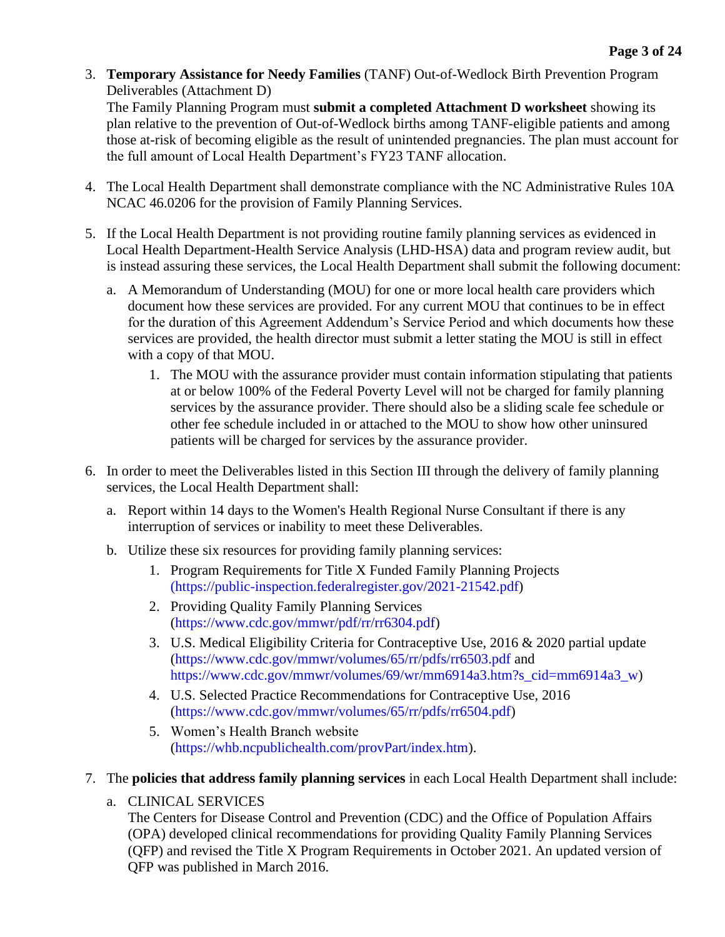- 3. **Temporary Assistance for Needy Families** (TANF) Out-of-Wedlock Birth Prevention Program Deliverables (Attachment D) The Family Planning Program must **submit a completed Attachment D worksheet** showing its plan relative to the prevention of Out-of-Wedlock births among TANF-eligible patients and among those at-risk of becoming eligible as the result of unintended pregnancies. The plan must account for
- 4. The Local Health Department shall demonstrate compliance with the NC Administrative Rules 10A NCAC 46.0206 for the provision of Family Planning Services.

the full amount of Local Health Department's FY23 TANF allocation.

- 5. If the Local Health Department is not providing routine family planning services as evidenced in Local Health Department-Health Service Analysis (LHD-HSA) data and program review audit, but is instead assuring these services, the Local Health Department shall submit the following document:
	- a. A Memorandum of Understanding (MOU) for one or more local health care providers which document how these services are provided. For any current MOU that continues to be in effect for the duration of this Agreement Addendum's Service Period and which documents how these services are provided, the health director must submit a letter stating the MOU is still in effect with a copy of that MOU.
		- 1. The MOU with the assurance provider must contain information stipulating that patients at or below 100% of the Federal Poverty Level will not be charged for family planning services by the assurance provider. There should also be a sliding scale fee schedule or other fee schedule included in or attached to the MOU to show how other uninsured patients will be charged for services by the assurance provider.
- 6. In order to meet the Deliverables listed in this Section III through the delivery of family planning services, the Local Health Department shall:
	- a. Report within 14 days to the Women's Health Regional Nurse Consultant if there is any interruption of services or inability to meet these Deliverables.
	- b. Utilize these six resources for providing family planning services:
		- 1. Program Requirements for Title X Funded Family Planning Projects [\(https://public-inspection.federalregister.gov/2021-21542.pdf\)](file:///C:/Users/klcarroll/AppData/Local/Microsoft/Windows/INetCache/Content.Outlook/371TH4XY/(https:/public-inspection.federalregister.gov/2021-21542.pdf)
		- 2. Providing Quality Family Planning Services [\(https://www.cdc.gov/mmwr/pdf/rr/rr6304.pdf\)](https://www.cdc.gov/mmwr/pdf/rr/rr6304.pdf)
		- 3. U.S. Medical Eligibility Criteria for Contraceptive Use, 2016 & 2020 partial update [\(https://www.cdc.gov/mmwr/volumes/65/rr/pdfs/rr6503.pdf](https://www.cdc.gov/mmwr/volumes/65/rr/pdfs/rr6503.pdf) and [https://www.cdc.gov/mmwr/volumes/69/wr/mm6914a3.htm?s\\_cid=mm6914a3\\_w\)](https://www.cdc.gov/mmwr/volumes/69/wr/mm6914a3.htm?s_cid=mm6914a3_w)
		- 4. U.S. Selected Practice Recommendations for Contraceptive Use, 2016 [\(https://www.cdc.gov/mmwr/volumes/65/rr/pdfs/rr6504.pdf\)](https://www.cdc.gov/mmwr/volumes/65/rr/pdfs/rr6504.pdf)
		- 5. Women's Health Branch website [\(https://whb.ncpublichealth.com/provPart/index.htm\)](https://whb.ncpublichealth.com/provPart/index.htm).
- 7. The **policies that address family planning services** in each Local Health Department shall include:
	- a. CLINICAL SERVICES

The Centers for Disease Control and Prevention (CDC) and the Office of Population Affairs (OPA) developed clinical recommendations for providing Quality Family Planning Services (QFP) and revised the Title X Program Requirements in October 2021. An updated version of QFP was published in March 2016.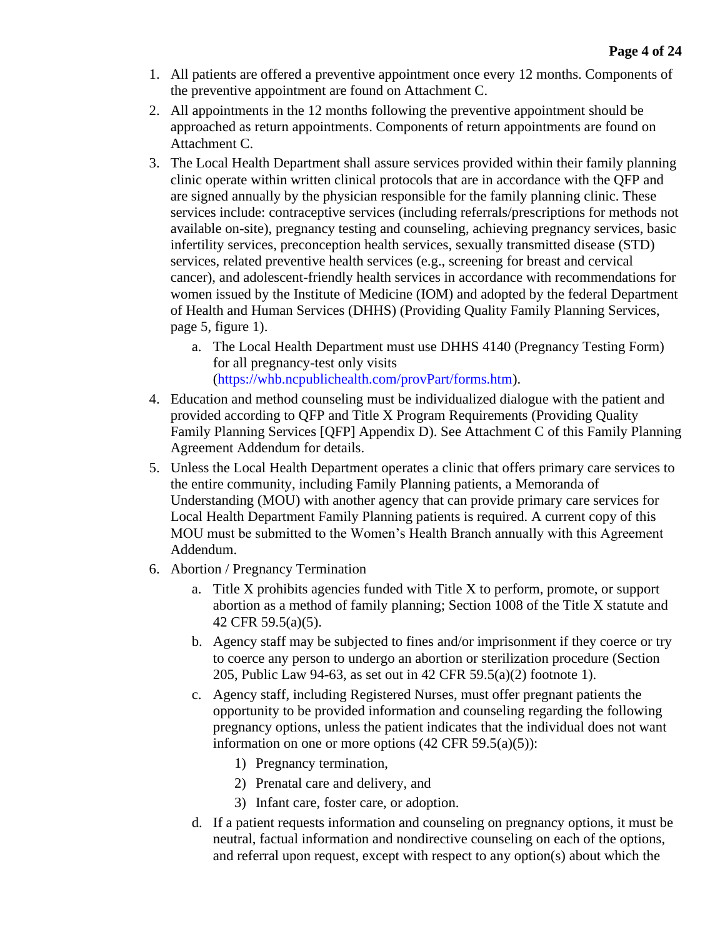- 1. All patients are offered a preventive appointment once every 12 months. Components of the preventive appointment are found on Attachment C.
- 2. All appointments in the 12 months following the preventive appointment should be approached as return appointments. Components of return appointments are found on Attachment C.
- 3. The Local Health Department shall assure services provided within their family planning clinic operate within written clinical protocols that are in accordance with the QFP and are signed annually by the physician responsible for the family planning clinic. These services include: contraceptive services (including referrals/prescriptions for methods not available on-site), pregnancy testing and counseling, achieving pregnancy services, basic infertility services, preconception health services, sexually transmitted disease (STD) services, related preventive health services (e.g., screening for breast and cervical cancer), and adolescent-friendly health services in accordance with recommendations for women issued by the Institute of Medicine (IOM) and adopted by the federal Department of Health and Human Services (DHHS) (Providing Quality Family Planning Services, page 5, figure 1).
	- a. The Local Health Department must use DHHS 4140 (Pregnancy Testing Form) for all pregnancy-test only visits [\(https://whb.ncpublichealth.com/provPart/forms.htm\)](https://whb.ncpublichealth.com/provPart/forms.htm).
- 4. Education and method counseling must be individualized dialogue with the patient and provided according to QFP and Title X Program Requirements (Providing Quality Family Planning Services [QFP] Appendix D). See Attachment C of this Family Planning Agreement Addendum for details.
- 5. Unless the Local Health Department operates a clinic that offers primary care services to the entire community, including Family Planning patients, a Memoranda of Understanding (MOU) with another agency that can provide primary care services for Local Health Department Family Planning patients is required. A current copy of this MOU must be submitted to the Women's Health Branch annually with this Agreement Addendum.
- 6. Abortion / Pregnancy Termination
	- a. Title X prohibits agencies funded with Title X to perform, promote, or support abortion as a method of family planning; Section 1008 of the Title X statute and 42 CFR 59.5(a)(5).
	- b. Agency staff may be subjected to fines and/or imprisonment if they coerce or try to coerce any person to undergo an abortion or sterilization procedure (Section 205, Public Law 94-63, as set out in 42 CFR 59.5(a)(2) footnote 1).
	- c. Agency staff, including Registered Nurses, must offer pregnant patients the opportunity to be provided information and counseling regarding the following pregnancy options, unless the patient indicates that the individual does not want information on one or more options  $(42 \text{ CFR } 59.5(a)(5))$ :
		- 1) Pregnancy termination,
		- 2) Prenatal care and delivery, and
		- 3) Infant care, foster care, or adoption.
	- d. If a patient requests information and counseling on pregnancy options, it must be neutral, factual information and nondirective counseling on each of the options, and referral upon request, except with respect to any option(s) about which the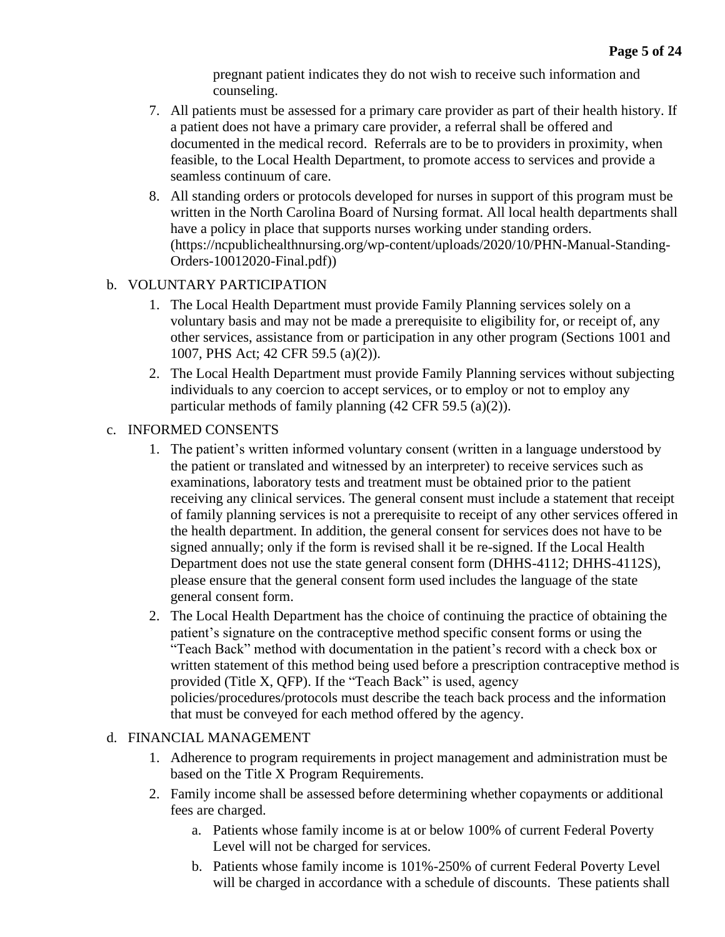pregnant patient indicates they do not wish to receive such information and counseling.

- 7. All patients must be assessed for a primary care provider as part of their health history. If a patient does not have a primary care provider, a referral shall be offered and documented in the medical record. Referrals are to be to providers in proximity, when feasible, to the Local Health Department, to promote access to services and provide a seamless continuum of care.
- 8. All standing orders or protocols developed for nurses in support of this program must be written in the North Carolina Board of Nursing format. All local health departments shall have a policy in place that supports nurses working under standing orders. (https://ncpublichealthnursing.org/wp-content/uploads/2020/10/PHN-Manual-Standing-Orders-10012020-Final.pdf))

#### b. VOLUNTARY PARTICIPATION

- 1. The Local Health Department must provide Family Planning services solely on a voluntary basis and may not be made a prerequisite to eligibility for, or receipt of, any other services, assistance from or participation in any other program (Sections 1001 and 1007, PHS Act; 42 CFR 59.5 (a)(2)).
- 2. The Local Health Department must provide Family Planning services without subjecting individuals to any coercion to accept services, or to employ or not to employ any particular methods of family planning (42 CFR 59.5 (a)(2)).

### c. INFORMED CONSENTS

- 1. The patient's written informed voluntary consent (written in a language understood by the patient or translated and witnessed by an interpreter) to receive services such as examinations, laboratory tests and treatment must be obtained prior to the patient receiving any clinical services. The general consent must include a statement that receipt of family planning services is not a prerequisite to receipt of any other services offered in the health department. In addition, the general consent for services does not have to be signed annually; only if the form is revised shall it be re-signed. If the Local Health Department does not use the state general consent form (DHHS-4112; DHHS-4112S), please ensure that the general consent form used includes the language of the state general consent form.
- 2. The Local Health Department has the choice of continuing the practice of obtaining the patient's signature on the contraceptive method specific consent forms or using the "Teach Back" method with documentation in the patient's record with a check box or written statement of this method being used before a prescription contraceptive method is provided (Title X, QFP). If the "Teach Back" is used, agency policies/procedures/protocols must describe the teach back process and the information that must be conveyed for each method offered by the agency.

#### d. FINANCIAL MANAGEMENT

- 1. Adherence to program requirements in project management and administration must be based on the Title X Program Requirements.
- 2. Family income shall be assessed before determining whether copayments or additional fees are charged.
	- a. Patients whose family income is at or below 100% of current Federal Poverty Level will not be charged for services.
	- b. Patients whose family income is 101%-250% of current Federal Poverty Level will be charged in accordance with a schedule of discounts. These patients shall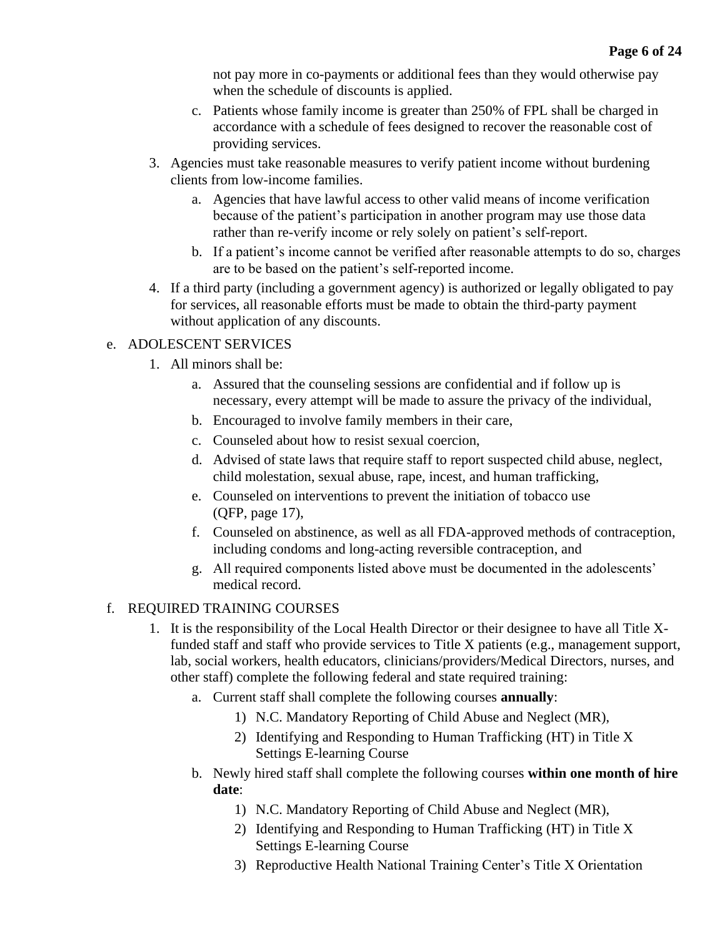not pay more in co-payments or additional fees than they would otherwise pay when the schedule of discounts is applied.

- c. Patients whose family income is greater than 250% of FPL shall be charged in accordance with a schedule of fees designed to recover the reasonable cost of providing services.
- 3. Agencies must take reasonable measures to verify patient income without burdening clients from low-income families.
	- a. Agencies that have lawful access to other valid means of income verification because of the patient's participation in another program may use those data rather than re-verify income or rely solely on patient's self-report.
	- b. If a patient's income cannot be verified after reasonable attempts to do so, charges are to be based on the patient's self-reported income.
- 4. If a third party (including a government agency) is authorized or legally obligated to pay for services, all reasonable efforts must be made to obtain the third-party payment without application of any discounts.

## e. ADOLESCENT SERVICES

- 1. All minors shall be:
	- a. Assured that the counseling sessions are confidential and if follow up is necessary, every attempt will be made to assure the privacy of the individual,
	- b. Encouraged to involve family members in their care,
	- c. Counseled about how to resist sexual coercion,
	- d. Advised of state laws that require staff to report suspected child abuse, neglect, child molestation, sexual abuse, rape, incest, and human trafficking,
	- e. Counseled on interventions to prevent the initiation of tobacco use (QFP, page 17),
	- f. Counseled on abstinence, as well as all FDA-approved methods of contraception, including condoms and long-acting reversible contraception, and
	- g. All required components listed above must be documented in the adolescents' medical record.

## f. REQUIRED TRAINING COURSES

- 1. It is the responsibility of the Local Health Director or their designee to have all Title Xfunded staff and staff who provide services to Title X patients (e.g., management support, lab, social workers, health educators, clinicians/providers/Medical Directors, nurses, and other staff) complete the following federal and state required training:
	- a. Current staff shall complete the following courses **annually**:
		- 1) N.C. Mandatory Reporting of Child Abuse and Neglect (MR),
		- 2) Identifying and Responding to Human Trafficking (HT) in Title X Settings E-learning Course
	- b. Newly hired staff shall complete the following courses **within one month of hire date**:
		- 1) N.C. Mandatory Reporting of Child Abuse and Neglect (MR),
		- 2) Identifying and Responding to Human Trafficking (HT) in Title X Settings E-learning Course
		- 3) Reproductive Health National Training Center's Title X Orientation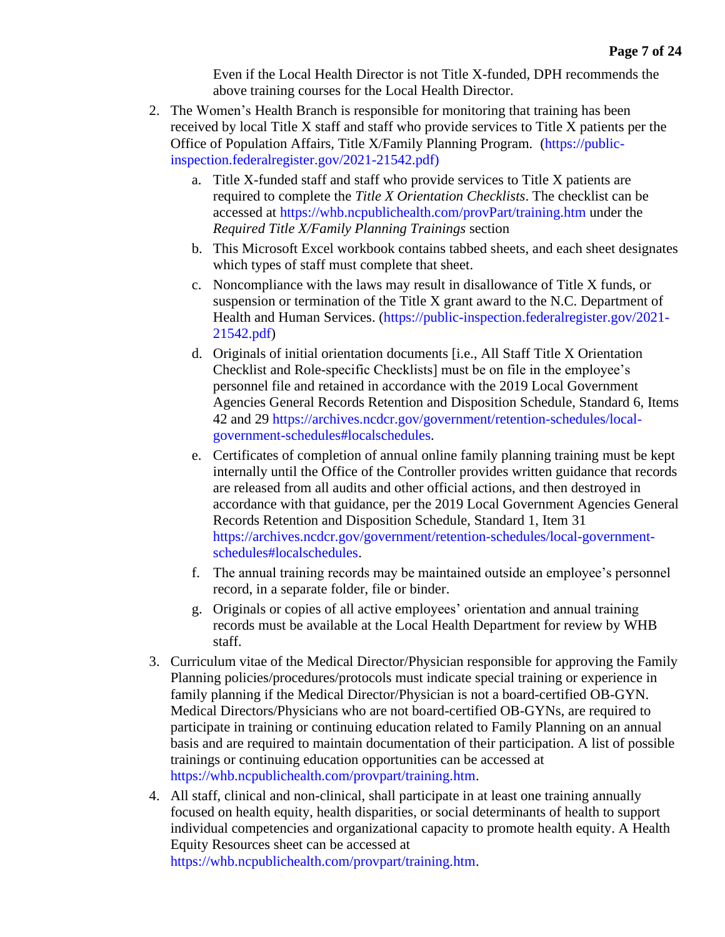Even if the Local Health Director is not Title X-funded, DPH recommends the above training courses for the Local Health Director.

- 2. The Women's Health Branch is responsible for monitoring that training has been received by local Title X staff and staff who provide services to Title X patients per the Office of Population Affairs, Title X/Family Planning Program*.* [\(https://public](https://public-inspection.federalregister.gov/2021-21542.pdf)[inspection.federalregister.gov/2021-21542.pdf\)](https://public-inspection.federalregister.gov/2021-21542.pdf)
	- a. Title X-funded staff and staff who provide services to Title X patients are required to complete the *Title X Orientation Checklists*. The checklist can be accessed at<https://whb.ncpublichealth.com/provPart/training.htm> under the *Required Title X/Family Planning Trainings* section
	- b. This Microsoft Excel workbook contains tabbed sheets, and each sheet designates which types of staff must complete that sheet.
	- c. Noncompliance with the laws may result in disallowance of Title X funds, or suspension or termination of the Title X grant award to the N.C. Department of Health and Human Services. (https://public-inspection.federalregister.gov/2021- 21542.pdf)
	- d. Originals of initial orientation documents [i.e., All Staff Title X Orientation Checklist and Role-specific Checklists] must be on file in the employee's personnel file and retained in accordance with the 2019 Local Government Agencies General Records Retention and Disposition Schedule, Standard 6, Items 42 and 29 [https://archives.ncdcr.gov/government/retention-schedules/local](https://archives.ncdcr.gov/government/retention-schedules/local-government-schedules#localschedules)[government-schedules#localschedules.](https://archives.ncdcr.gov/government/retention-schedules/local-government-schedules#localschedules)
	- e. Certificates of completion of annual online family planning training must be kept internally until the Office of the Controller provides written guidance that records are released from all audits and other official actions, and then destroyed in accordance with that guidance, per the 2019 Local Government Agencies General Records Retention and Disposition Schedule, Standard 1, Item 31 [https://archives.ncdcr.gov/government/retention-schedules/local-government](https://archives.ncdcr.gov/government/retention-schedules/local-government-schedules#localschedules)[schedules#localschedules.](https://archives.ncdcr.gov/government/retention-schedules/local-government-schedules#localschedules)
	- f. The annual training records may be maintained outside an employee's personnel record, in a separate folder, file or binder.
	- g. Originals or copies of all active employees' orientation and annual training records must be available at the Local Health Department for review by WHB staff.
- 3. Curriculum vitae of the Medical Director/Physician responsible for approving the Family Planning policies/procedures/protocols must indicate special training or experience in family planning if the Medical Director/Physician is not a board-certified OB-GYN. Medical Directors/Physicians who are not board-certified OB-GYNs, are required to participate in training or continuing education related to Family Planning on an annual basis and are required to maintain documentation of their participation. A list of possible trainings or continuing education opportunities can be accessed at [https://whb.ncpublichealth.com/provpart/training.htm.](https://whb.ncpublichealth.com/provpart/training.htm)
- 4. All staff, clinical and non-clinical, shall participate in at least one training annually focused on health equity, health disparities, or social determinants of health to support individual competencies and organizational capacity to promote health equity. A Health Equity Resources sheet can be accessed at [https://whb.ncpublichealth.com/provpart/training.htm.](https://whb.ncpublichealth.com/provpart/training.htm)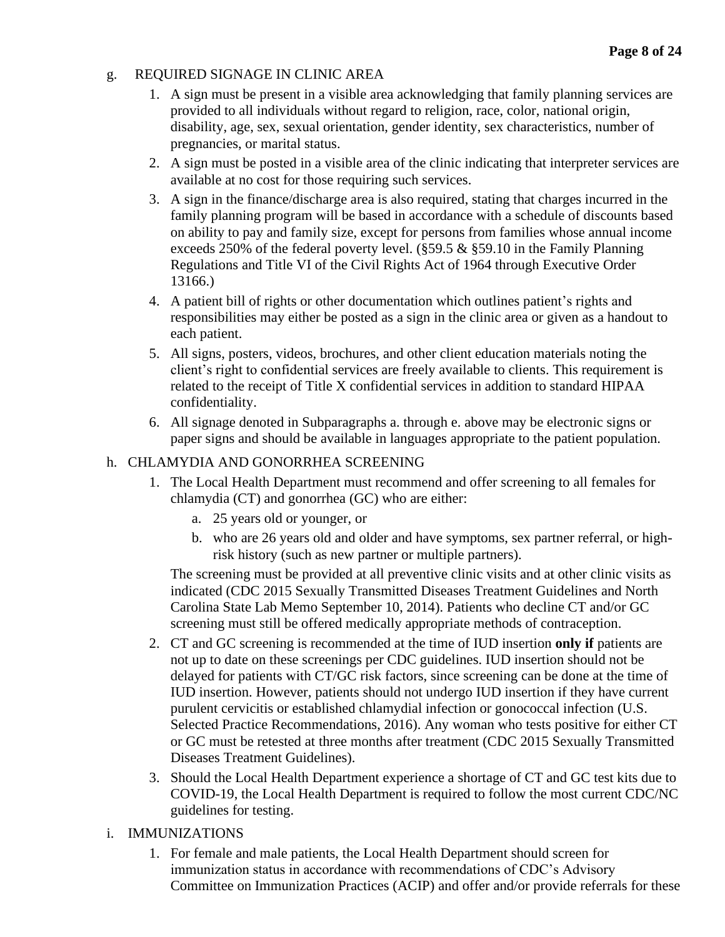#### g. REQUIRED SIGNAGE IN CLINIC AREA

- 1. A sign must be present in a visible area acknowledging that family planning services are provided to all individuals without regard to religion, race, color, national origin, disability, age, sex, sexual orientation, gender identity, sex characteristics, number of pregnancies, or marital status.
- 2. A sign must be posted in a visible area of the clinic indicating that interpreter services are available at no cost for those requiring such services.
- 3. A sign in the finance/discharge area is also required, stating that charges incurred in the family planning program will be based in accordance with a schedule of discounts based on ability to pay and family size, except for persons from families whose annual income exceeds 250% of the federal poverty level. (§59.5 & §59.10 in the Family Planning Regulations and Title VI of the Civil Rights Act of 1964 through Executive Order 13166.)
- 4. A patient bill of rights or other documentation which outlines patient's rights and responsibilities may either be posted as a sign in the clinic area or given as a handout to each patient.
- 5. All signs, posters, videos, brochures, and other client education materials noting the client's right to confidential services are freely available to clients. This requirement is related to the receipt of Title X confidential services in addition to standard HIPAA confidentiality.
- 6. All signage denoted in Subparagraphs a. through e. above may be electronic signs or paper signs and should be available in languages appropriate to the patient population.

#### h. CHLAMYDIA AND GONORRHEA SCREENING

- 1. The Local Health Department must recommend and offer screening to all females for chlamydia (CT) and gonorrhea (GC) who are either:
	- a. 25 years old or younger, or
	- b. who are 26 years old and older and have symptoms, sex partner referral, or highrisk history (such as new partner or multiple partners).

The screening must be provided at all preventive clinic visits and at other clinic visits as indicated (CDC 2015 Sexually Transmitted Diseases Treatment Guidelines and North Carolina State Lab Memo September 10, 2014). Patients who decline CT and/or GC screening must still be offered medically appropriate methods of contraception.

- 2. CT and GC screening is recommended at the time of IUD insertion **only if** patients are not up to date on these screenings per CDC guidelines. IUD insertion should not be delayed for patients with CT/GC risk factors, since screening can be done at the time of IUD insertion. However, patients should not undergo IUD insertion if they have current purulent cervicitis or established chlamydial infection or gonococcal infection (U.S. Selected Practice Recommendations, 2016). Any woman who tests positive for either CT or GC must be retested at three months after treatment (CDC 2015 Sexually Transmitted Diseases Treatment Guidelines).
- 3. Should the Local Health Department experience a shortage of CT and GC test kits due to COVID-19, the Local Health Department is required to follow the most current CDC/NC guidelines for testing.
- i. IMMUNIZATIONS
	- 1. For female and male patients, the Local Health Department should screen for immunization status in accordance with recommendations of CDC's Advisory Committee on Immunization Practices (ACIP) and offer and/or provide referrals for these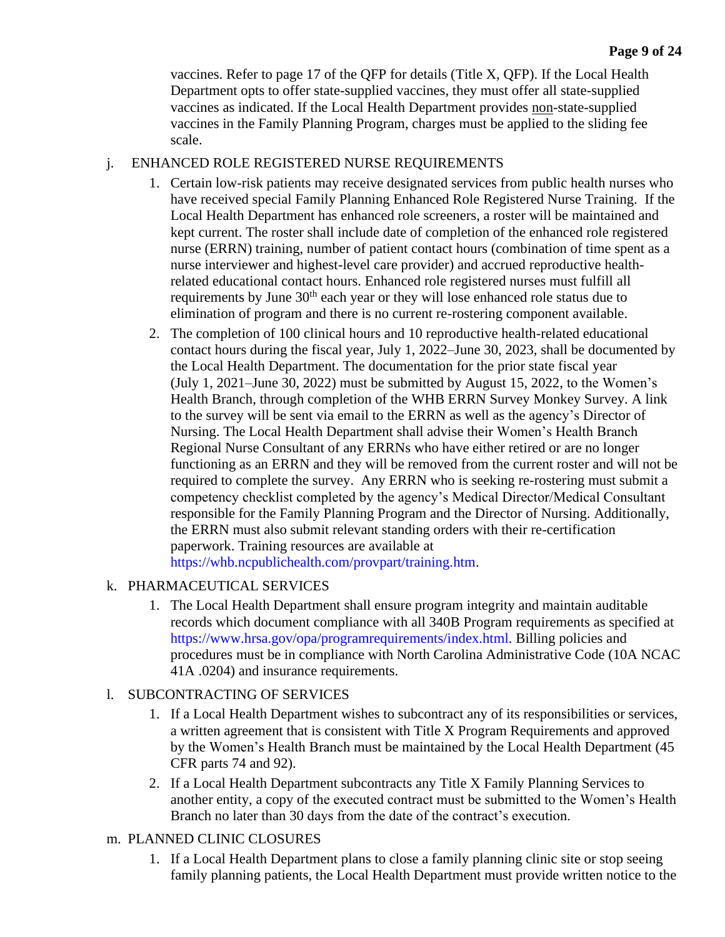vaccines. Refer to page 17 of the QFP for details (Title X, QFP). If the Local Health Department opts to offer state-supplied vaccines, they must offer all state-supplied vaccines as indicated. If the Local Health Department provides non-state-supplied vaccines in the Family Planning Program, charges must be applied to the sliding fee scale.

### j. ENHANCED ROLE REGISTERED NURSE REQUIREMENTS

- 1. Certain low-risk patients may receive designated services from public health nurses who have received special Family Planning Enhanced Role Registered Nurse Training. If the Local Health Department has enhanced role screeners, a roster will be maintained and kept current. The roster shall include date of completion of the enhanced role registered nurse (ERRN) training, number of patient contact hours (combination of time spent as a nurse interviewer and highest-level care provider) and accrued reproductive healthrelated educational contact hours. Enhanced role registered nurses must fulfill all requirements by June 30<sup>th</sup> each year or they will lose enhanced role status due to elimination of program and there is no current re-rostering component available.
- 2. The completion of 100 clinical hours and 10 reproductive health-related educational contact hours during the fiscal year, July 1, 2022–June 30, 2023, shall be documented by the Local Health Department. The documentation for the prior state fiscal year (July 1, 2021–June 30, 2022) must be submitted by August 15, 2022, to the Women's Health Branch, through completion of the WHB ERRN Survey Monkey Survey. A link to the survey will be sent via email to the ERRN as well as the agency's Director of Nursing. The Local Health Department shall advise their Women's Health Branch Regional Nurse Consultant of any ERRNs who have either retired or are no longer functioning as an ERRN and they will be removed from the current roster and will not be required to complete the survey. Any ERRN who is seeking re-rostering must submit a competency checklist completed by the agency's Medical Director/Medical Consultant responsible for the Family Planning Program and the Director of Nursing. Additionally, the ERRN must also submit relevant standing orders with their re-certification paperwork. Training resources are available at

[https://whb.ncpublichealth.com/provpart/training.htm.](https://whb.ncpublichealth.com/provpart/training.htm)

## k. PHARMACEUTICAL SERVICES

1. The Local Health Department shall ensure program integrity and maintain auditable records which document compliance with all 340B Program requirements as specified at [https://www.hrsa.gov/opa/programrequirements/index.html.](https://www.hrsa.gov/opa/programrequirements/index.html) Billing policies and procedures must be in compliance with North Carolina Administrative Code (10A NCAC 41A .0204) and insurance requirements.

## l. SUBCONTRACTING OF SERVICES

- 1. If a Local Health Department wishes to subcontract any of its responsibilities or services, a written agreement that is consistent with Title X Program Requirements and approved by the Women's Health Branch must be maintained by the Local Health Department (45 CFR parts 74 and 92).
- 2. If a Local Health Department subcontracts any Title X Family Planning Services to another entity, a copy of the executed contract must be submitted to the Women's Health Branch no later than 30 days from the date of the contract's execution.

#### m. PLANNED CLINIC CLOSURES

1. If a Local Health Department plans to close a family planning clinic site or stop seeing family planning patients, the Local Health Department must provide written notice to the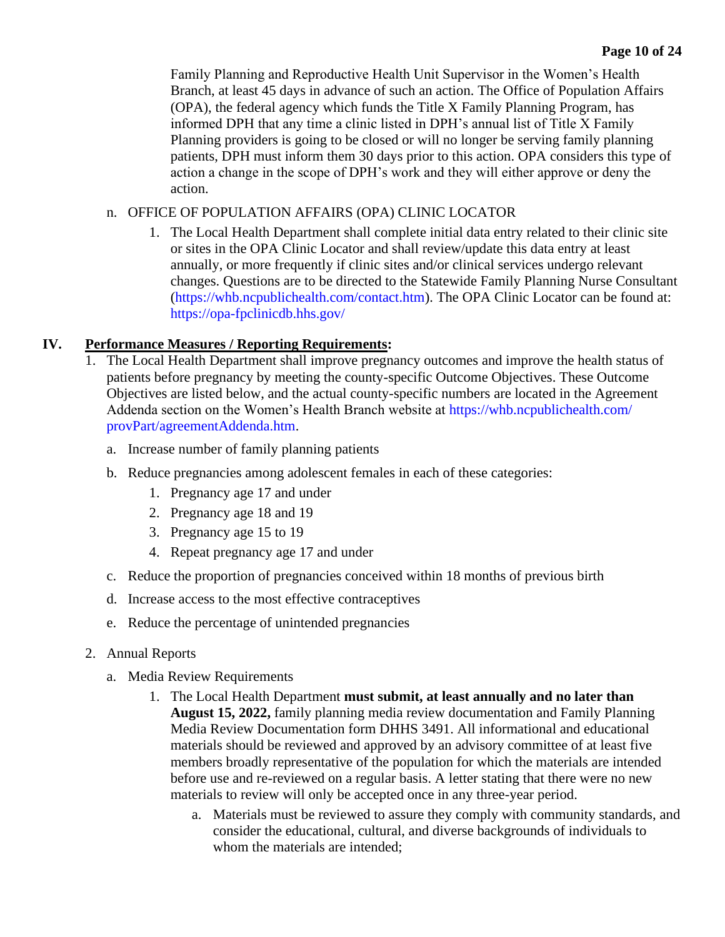Family Planning and Reproductive Health Unit Supervisor in the Women's Health Branch, at least 45 days in advance of such an action. The Office of Population Affairs (OPA), the federal agency which funds the Title X Family Planning Program, has informed DPH that any time a clinic listed in DPH's annual list of Title X Family Planning providers is going to be closed or will no longer be serving family planning patients, DPH must inform them 30 days prior to this action. OPA considers this type of action a change in the scope of DPH's work and they will either approve or deny the action.

#### n. OFFICE OF POPULATION AFFAIRS (OPA) CLINIC LOCATOR

1. The Local Health Department shall complete initial data entry related to their clinic site or sites in the OPA Clinic Locator and shall review/update this data entry at least annually, or more frequently if clinic sites and/or clinical services undergo relevant changes. Questions are to be directed to the Statewide Family Planning Nurse Consultant [\(https://whb.ncpublichealth.com/contact.htm\)](https://whb.ncpublichealth.com/contact.htm). The OPA Clinic Locator can be found at: <https://opa-fpclinicdb.hhs.gov/>

### **IV. Performance Measures / Reporting Requirements:**

- 1. The Local Health Department shall improve pregnancy outcomes and improve the health status of patients before pregnancy by meeting the county-specific Outcome Objectives. These Outcome Objectives are listed below, and the actual county-specific numbers are located in the Agreement Addenda section on the Women's Health Branch website at [https://whb.ncpublichealth.com/](https://whb.ncpublichealth.com/provPart/agreementAddenda.htm)  [provPart/agreementAddenda.htm.](https://whb.ncpublichealth.com/provPart/agreementAddenda.htm)
	- a. Increase number of family planning patients
	- b. Reduce pregnancies among adolescent females in each of these categories:
		- 1. Pregnancy age 17 and under
		- 2. Pregnancy age 18 and 19
		- 3. Pregnancy age 15 to 19
		- 4. Repeat pregnancy age 17 and under
	- c. Reduce the proportion of pregnancies conceived within 18 months of previous birth
	- d. Increase access to the most effective contraceptives
	- e. Reduce the percentage of unintended pregnancies
- 2. Annual Reports
	- a. Media Review Requirements
		- 1. The Local Health Department **must submit, at least annually and no later than August 15, 2022,** family planning media review documentation and Family Planning Media Review Documentation form DHHS 3491. All informational and educational materials should be reviewed and approved by an advisory committee of at least five members broadly representative of the population for which the materials are intended before use and re-reviewed on a regular basis. A letter stating that there were no new materials to review will only be accepted once in any three-year period.
			- a. Materials must be reviewed to assure they comply with community standards, and consider the educational, cultural, and diverse backgrounds of individuals to whom the materials are intended;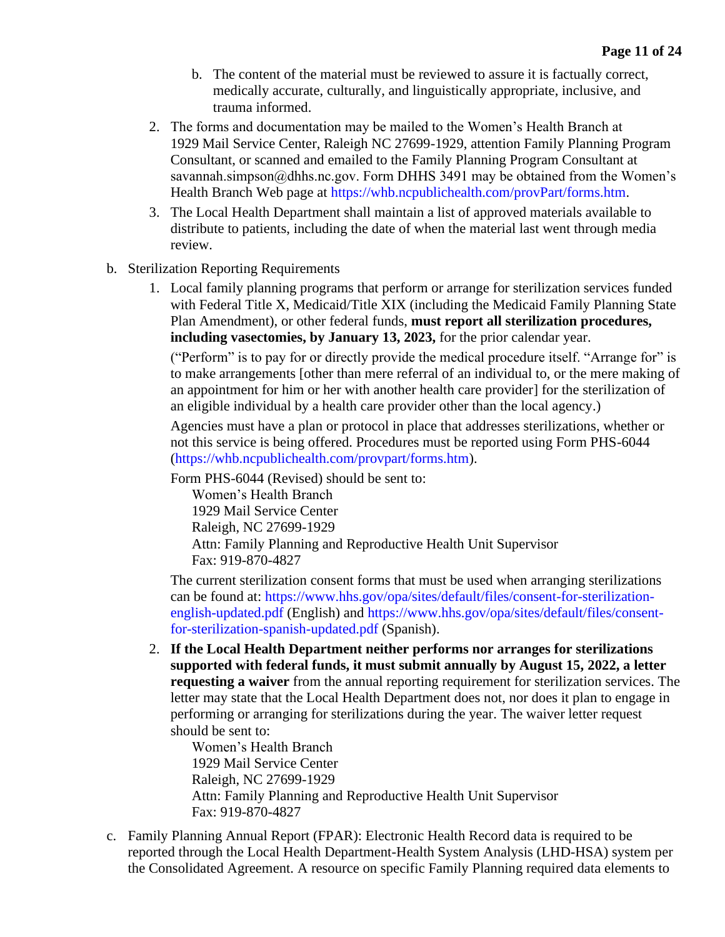- b. The content of the material must be reviewed to assure it is factually correct, medically accurate, culturally, and linguistically appropriate, inclusive, and trauma informed.
- 2. The forms and documentation may be mailed to the Women's Health Branch at 1929 Mail Service Center, Raleigh NC 27699-1929, attention Family Planning Program Consultant, or scanned and emailed to the Family Planning Program Consultant at savannah.simpson@dhhs.nc.gov. Form DHHS 3491 may be obtained from the Women's Health Branch Web page at [https://whb.ncpublichealth.com/provPart/forms.htm.](https://whb.ncpublichealth.com/provPart/forms.htm)
- 3. The Local Health Department shall maintain a list of approved materials available to distribute to patients, including the date of when the material last went through media review.
- b. Sterilization Reporting Requirements
	- 1. Local family planning programs that perform or arrange for sterilization services funded with Federal Title X, Medicaid/Title XIX (including the Medicaid Family Planning State Plan Amendment), or other federal funds, **must report all sterilization procedures, including vasectomies, by January 13, 2023,** for the prior calendar year.

("Perform" is to pay for or directly provide the medical procedure itself. "Arrange for" is to make arrangements [other than mere referral of an individual to, or the mere making of an appointment for him or her with another health care provider] for the sterilization of an eligible individual by a health care provider other than the local agency.)

Agencies must have a plan or protocol in place that addresses sterilizations, whether or not this service is being offered. Procedures must be reported using Form PHS-6044 [\(https://whb.ncpublichealth.com/provpart/forms.htm\)](https://whb.ncpublichealth.com/provpart/forms.htm).

Form PHS-6044 (Revised) should be sent to:

Women's Health Branch 1929 Mail Service Center Raleigh, NC 27699-1929 Attn: Family Planning and Reproductive Health Unit Supervisor Fax: 919-870-4827

The current sterilization consent forms that must be used when arranging sterilizations can be found at: [https://www.hhs.gov/opa/sites/default/files/consent-for-sterilization](https://www.hhs.gov/opa/sites/default/files/consent-for-sterilization-english-updated.pdf)[english-updated.pdf](https://www.hhs.gov/opa/sites/default/files/consent-for-sterilization-english-updated.pdf) (English) and [https://www.hhs.gov/opa/sites/default/files/consent](https://www.hhs.gov/opa/sites/default/files/consent-for-sterilization-spanish-updated.pdf)[for-sterilization-spanish-updated.pdf](https://www.hhs.gov/opa/sites/default/files/consent-for-sterilization-spanish-updated.pdf) (Spanish).

2. **If the Local Health Department neither performs nor arranges for sterilizations supported with federal funds, it must submit annually by August 15, 2022, a letter requesting a waiver** from the annual reporting requirement for sterilization services. The letter may state that the Local Health Department does not, nor does it plan to engage in performing or arranging for sterilizations during the year. The waiver letter request should be sent to:

Women's Health Branch 1929 Mail Service Center Raleigh, NC 27699-1929 Attn: Family Planning and Reproductive Health Unit Supervisor Fax: 919-870-4827

c. Family Planning Annual Report (FPAR): Electronic Health Record data is required to be reported through the Local Health Department-Health System Analysis (LHD-HSA) system per the Consolidated Agreement. A resource on specific Family Planning required data elements to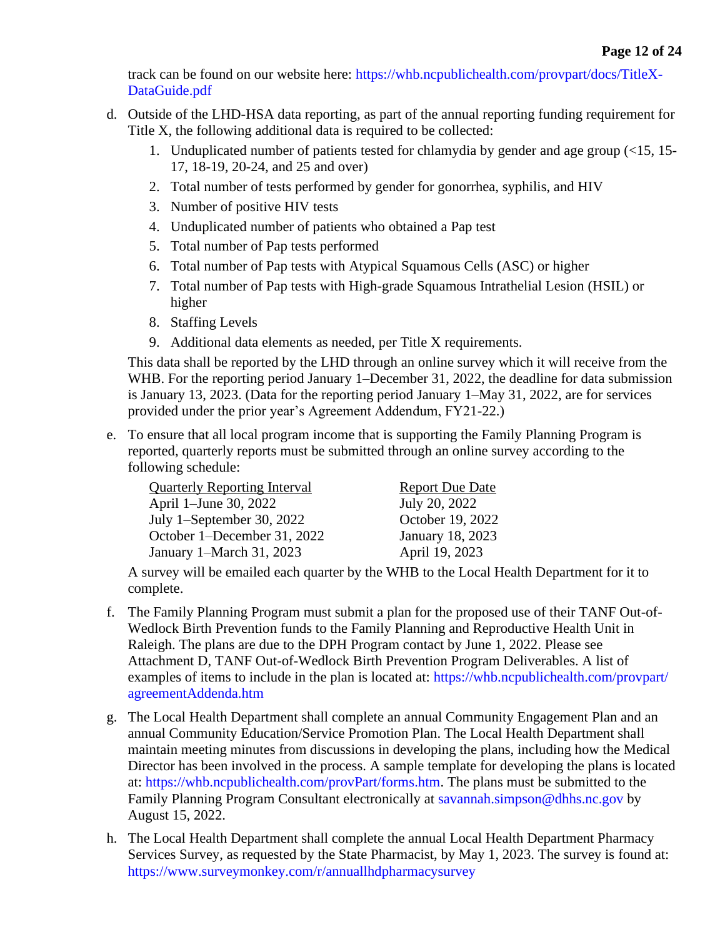track can be found on our website here: [https://whb.ncpublichealth.com/provpart/docs/TitleX-](https://whb.ncpublichealth.com/provpart/docs/TitleX-DataGuide.pdf)[DataGuide.pdf](https://whb.ncpublichealth.com/provpart/docs/TitleX-DataGuide.pdf)

- d. Outside of the LHD-HSA data reporting, as part of the annual reporting funding requirement for Title X, the following additional data is required to be collected:
	- 1. Unduplicated number of patients tested for chlamydia by gender and age group (<15, 15- 17, 18-19, 20-24, and 25 and over)
	- 2. Total number of tests performed by gender for gonorrhea, syphilis, and HIV
	- 3. Number of positive HIV tests
	- 4. Unduplicated number of patients who obtained a Pap test
	- 5. Total number of Pap tests performed
	- 6. Total number of Pap tests with Atypical Squamous Cells (ASC) or higher
	- 7. Total number of Pap tests with High-grade Squamous Intrathelial Lesion (HSIL) or higher
	- 8. Staffing Levels
	- 9. Additional data elements as needed, per Title X requirements.

This data shall be reported by the LHD through an online survey which it will receive from the WHB. For the reporting period January 1–December 31, 2022, the deadline for data submission is January 13, 2023. (Data for the reporting period January 1–May 31, 2022, are for services provided under the prior year's Agreement Addendum, FY21-22.)

e. To ensure that all local program income that is supporting the Family Planning Program is reported, quarterly reports must be submitted through an online survey according to the following schedule:

| <b>Quarterly Reporting Interval</b> | <b>Report Due Date</b> |
|-------------------------------------|------------------------|
| April 1-June 30, 2022               | July 20, 2022          |
| July 1-September 30, 2022           | October 19, 2022       |
| October 1–December 31, 2022         | January 18, 2023       |
| January 1–March 31, 2023            | April 19, 2023         |

A survey will be emailed each quarter by the WHB to the Local Health Department for it to complete.

- f. The Family Planning Program must submit a plan for the proposed use of their TANF Out-of-Wedlock Birth Prevention funds to the Family Planning and Reproductive Health Unit in Raleigh. The plans are due to the DPH Program contact by June 1, 2022. Please see Attachment D, TANF Out-of-Wedlock Birth Prevention Program Deliverables. A list of examples of items to include in the plan is located at: [https://whb.ncpublichealth.com/provpart/](https://whb.ncpublichealth.com/provpart/agreementAddenda.htm)  [agreementAddenda.htm](https://whb.ncpublichealth.com/provpart/agreementAddenda.htm)
- g. The Local Health Department shall complete an annual Community Engagement Plan and an annual Community Education/Service Promotion Plan. The Local Health Department shall maintain meeting minutes from discussions in developing the plans, including how the Medical Director has been involved in the process. A sample template for developing the plans is located at: [https://whb.ncpublichealth.com/provPart/forms.htm.](https://whb.ncpublichealth.com/provPart/forms.htm) The plans must be submitted to the Family Planning Program Consultant electronically at [savannah.simpson@dhhs.nc.gov](mailto:savannah.simpson@dhhs.nc.gov) by August 15, 2022.
- h. The Local Health Department shall complete the annual Local Health Department Pharmacy Services Survey, as requested by the State Pharmacist, by May 1, 2023. The survey is found at: <https://www.surveymonkey.com/r/annuallhdpharmacysurvey>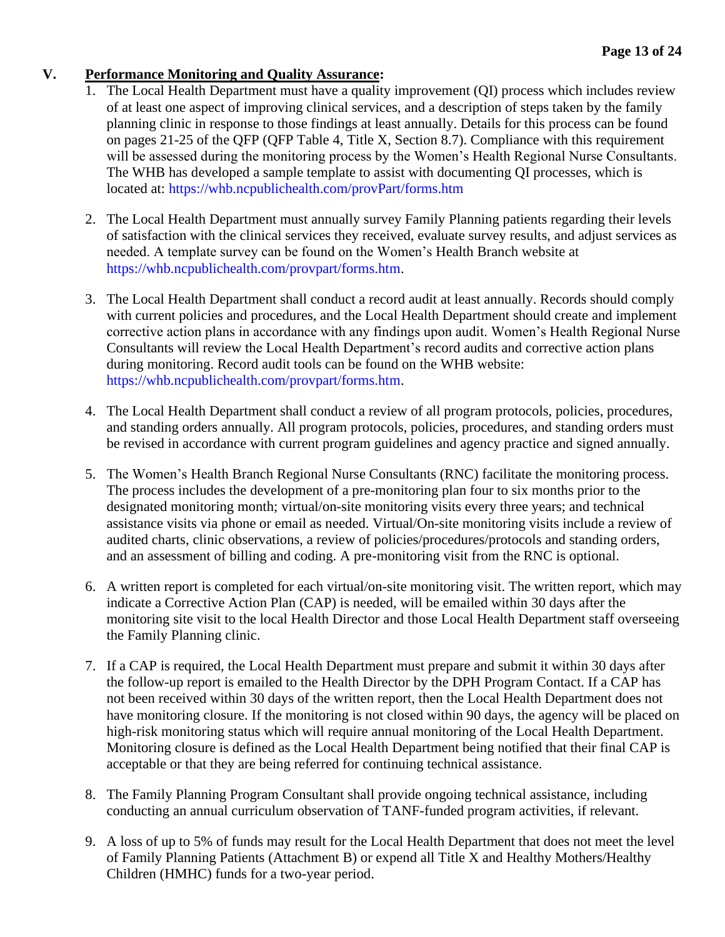#### **V. Performance Monitoring and Quality Assurance:**

- 1. The Local Health Department must have a quality improvement (QI) process which includes review of at least one aspect of improving clinical services, and a description of steps taken by the family planning clinic in response to those findings at least annually. Details for this process can be found on pages 21-25 of the QFP (QFP Table 4, Title X, Section 8.7). Compliance with this requirement will be assessed during the monitoring process by the Women's Health Regional Nurse Consultants. The WHB has developed a sample template to assist with documenting QI processes, which is located at:<https://whb.ncpublichealth.com/provPart/forms.htm>
- 2. The Local Health Department must annually survey Family Planning patients regarding their levels of satisfaction with the clinical services they received, evaluate survey results, and adjust services as needed. A template survey can be found on the Women's Health Branch website at [https://whb.ncpublichealth.com/provpart/forms.htm.](https://whb.ncpublichealth.com/provpart/forms.htm)
- 3. The Local Health Department shall conduct a record audit at least annually. Records should comply with current policies and procedures, and the Local Health Department should create and implement corrective action plans in accordance with any findings upon audit. Women's Health Regional Nurse Consultants will review the Local Health Department's record audits and corrective action plans during monitoring. Record audit tools can be found on the WHB website: https://whb.ncpublichealth.com/provpart/forms.htm.
- 4. The Local Health Department shall conduct a review of all program protocols, policies, procedures, and standing orders annually. All program protocols, policies, procedures, and standing orders must be revised in accordance with current program guidelines and agency practice and signed annually.
- 5. The Women's Health Branch Regional Nurse Consultants (RNC) facilitate the monitoring process. The process includes the development of a pre-monitoring plan four to six months prior to the designated monitoring month; virtual/on-site monitoring visits every three years; and technical assistance visits via phone or email as needed. Virtual/On-site monitoring visits include a review of audited charts, clinic observations, a review of policies/procedures/protocols and standing orders, and an assessment of billing and coding. A pre-monitoring visit from the RNC is optional.
- 6. A written report is completed for each virtual/on-site monitoring visit. The written report, which may indicate a Corrective Action Plan (CAP) is needed, will be emailed within 30 days after the monitoring site visit to the local Health Director and those Local Health Department staff overseeing the Family Planning clinic.
- 7. If a CAP is required, the Local Health Department must prepare and submit it within 30 days after the follow-up report is emailed to the Health Director by the DPH Program Contact. If a CAP has not been received within 30 days of the written report, then the Local Health Department does not have monitoring closure. If the monitoring is not closed within 90 days, the agency will be placed on high-risk monitoring status which will require annual monitoring of the Local Health Department. Monitoring closure is defined as the Local Health Department being notified that their final CAP is acceptable or that they are being referred for continuing technical assistance.
- 8. The Family Planning Program Consultant shall provide ongoing technical assistance, including conducting an annual curriculum observation of TANF-funded program activities, if relevant.
- 9. A loss of up to 5% of funds may result for the Local Health Department that does not meet the level of Family Planning Patients (Attachment B) or expend all Title X and Healthy Mothers/Healthy Children (HMHC) funds for a two-year period.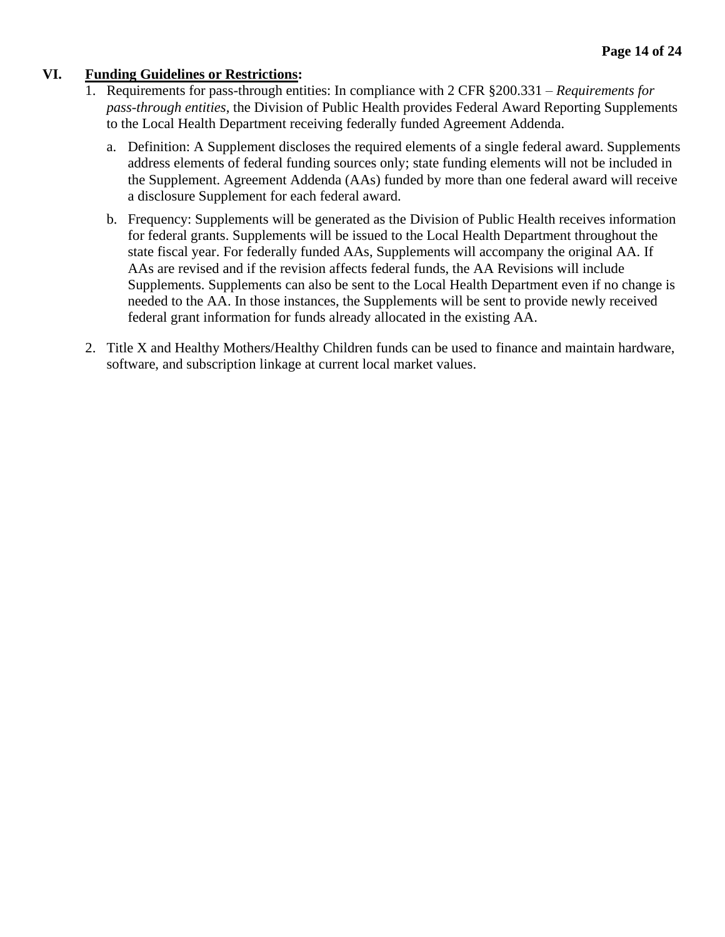#### **VI. Funding Guidelines or Restrictions:**

- 1. Requirements for pass-through entities: In compliance with 2 CFR §200.331 *Requirements for pass-through entities*, the Division of Public Health provides Federal Award Reporting Supplements to the Local Health Department receiving federally funded Agreement Addenda.
	- a. Definition: A Supplement discloses the required elements of a single federal award. Supplements address elements of federal funding sources only; state funding elements will not be included in the Supplement. Agreement Addenda (AAs) funded by more than one federal award will receive a disclosure Supplement for each federal award.
	- b. Frequency: Supplements will be generated as the Division of Public Health receives information for federal grants. Supplements will be issued to the Local Health Department throughout the state fiscal year. For federally funded AAs, Supplements will accompany the original AA. If AAs are revised and if the revision affects federal funds, the AA Revisions will include Supplements. Supplements can also be sent to the Local Health Department even if no change is needed to the AA. In those instances, the Supplements will be sent to provide newly received federal grant information for funds already allocated in the existing AA.
- 2. Title X and Healthy Mothers/Healthy Children funds can be used to finance and maintain hardware, software, and subscription linkage at current local market values.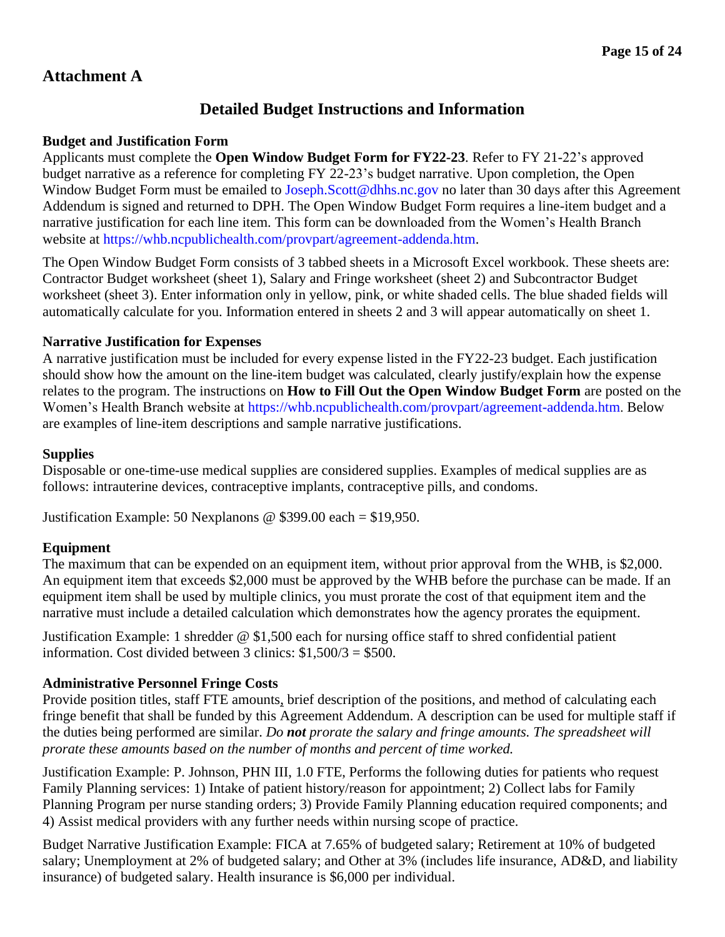## **Attachment A**

## **Detailed Budget Instructions and Information**

#### **Budget and Justification Form**

Applicants must complete the **Open Window Budget Form for FY22-23**. Refer to FY 21-22's approved budget narrative as a reference for completing FY 22-23's budget narrative. Upon completion, the Open Window Budget Form must be emailed to [Joseph.Scott@dhhs.nc.gov](mailto:Joseph.Scott@dhhs.nc.gov) no later than 30 days after this Agreement Addendum is signed and returned to DPH. The Open Window Budget Form requires a line-item budget and a narrative justification for each line item. This form can be downloaded from the Women's Health Branch website at [https://whb.ncpublichealth.com/provpart/agreement-addenda.htm.](https://whb.ncpublichealth.com/provpart/agreement-addenda.htm)

The Open Window Budget Form consists of 3 tabbed sheets in a Microsoft Excel workbook. These sheets are: Contractor Budget worksheet (sheet 1), Salary and Fringe worksheet (sheet 2) and Subcontractor Budget worksheet (sheet 3). Enter information only in yellow, pink, or white shaded cells. The blue shaded fields will automatically calculate for you. Information entered in sheets 2 and 3 will appear automatically on sheet 1.

#### **Narrative Justification for Expenses**

A narrative justification must be included for every expense listed in the FY22-23 budget. Each justification should show how the amount on the line-item budget was calculated, clearly justify/explain how the expense relates to the program. The instructions on **How to Fill Out the Open Window Budget Form** are posted on the Women's Health Branch website at<https://whb.ncpublichealth.com/provpart/agreement-addenda.htm>. Below are examples of line-item descriptions and sample narrative justifications.

#### **Supplies**

Disposable or one-time-use medical supplies are considered supplies. Examples of medical supplies are as follows: intrauterine devices, contraceptive implants, contraceptive pills, and condoms.

Justification Example: 50 Nexplanons @ \$399.00 each = \$19,950.

#### **Equipment**

The maximum that can be expended on an equipment item, without prior approval from the WHB, is \$2,000. An equipment item that exceeds \$2,000 must be approved by the WHB before the purchase can be made. If an equipment item shall be used by multiple clinics, you must prorate the cost of that equipment item and the narrative must include a detailed calculation which demonstrates how the agency prorates the equipment.

Justification Example: 1 shredder @ \$1,500 each for nursing office staff to shred confidential patient information. Cost divided between 3 clinics:  $$1,500/3 = $500$ .

#### **Administrative Personnel Fringe Costs**

Provide position titles, staff FTE amounts, brief description of the positions, and method of calculating each fringe benefit that shall be funded by this Agreement Addendum. A description can be used for multiple staff if the duties being performed are similar. *Do not prorate the salary and fringe amounts. The spreadsheet will prorate these amounts based on the number of months and percent of time worked.*

Justification Example: P. Johnson, PHN III, 1.0 FTE, Performs the following duties for patients who request Family Planning services: 1) Intake of patient history/reason for appointment; 2) Collect labs for Family Planning Program per nurse standing orders; 3) Provide Family Planning education required components; and 4) Assist medical providers with any further needs within nursing scope of practice.

Budget Narrative Justification Example: FICA at 7.65% of budgeted salary; Retirement at 10% of budgeted salary; Unemployment at 2% of budgeted salary; and Other at 3% (includes life insurance, AD&D, and liability insurance) of budgeted salary. Health insurance is \$6,000 per individual.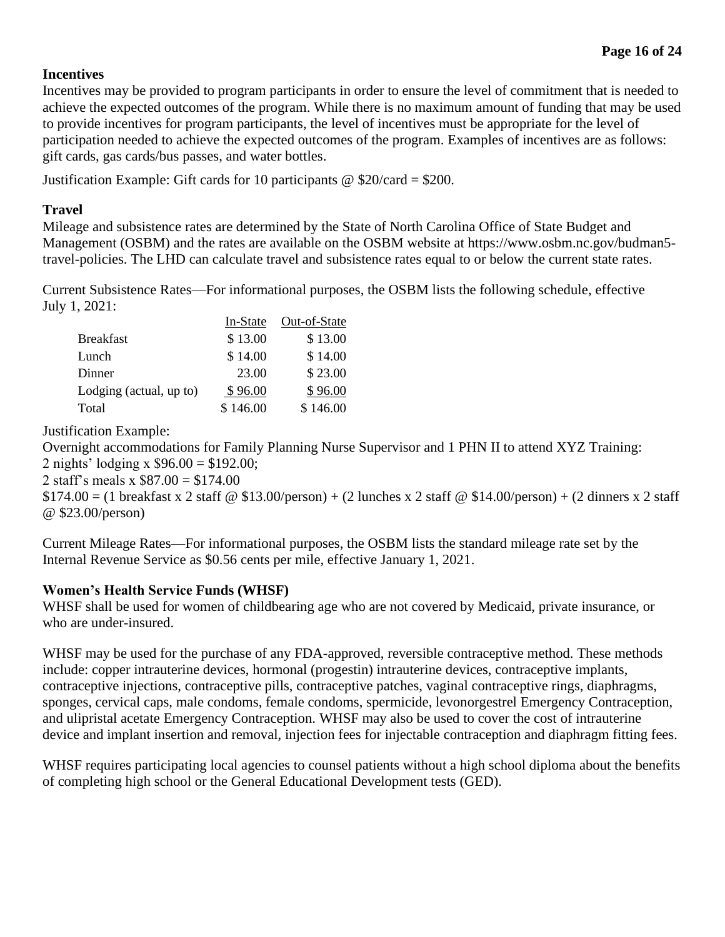### **Incentives**

Incentives may be provided to program participants in order to ensure the level of commitment that is needed to achieve the expected outcomes of the program. While there is no maximum amount of funding that may be used to provide incentives for program participants, the level of incentives must be appropriate for the level of participation needed to achieve the expected outcomes of the program. Examples of incentives are as follows: gift cards, gas cards/bus passes, and water bottles.

Justification Example: Gift cards for 10 participants  $\omega$  \$20/card = \$200.

### **Travel**

Mileage and subsistence rates are determined by the State of North Carolina Office of State Budget and Management (OSBM) and the rates are available on the OSBM website at https://www.osbm.nc.gov/budman5 travel-policies. The LHD can calculate travel and subsistence rates equal to or below the current state rates.

Current Subsistence Rates—For informational purposes, the OSBM lists the following schedule, effective July 1, 2021:

|                         | In-State | Out-of-State |
|-------------------------|----------|--------------|
| <b>Breakfast</b>        | \$13.00  | \$13.00      |
| Lunch                   | \$14.00  | \$14.00      |
| Dinner                  | 23.00    | \$23.00      |
| Lodging (actual, up to) | \$96.00  | \$96.00      |
| Total                   | \$146.00 | \$146.00     |

Justification Example:

Overnight accommodations for Family Planning Nurse Supervisor and 1 PHN II to attend XYZ Training: 2 nights' lodging x \$96.00 = \$192.00;

2 staff's meals x \$87.00 = \$174.00

 $$174.00 = (1 \text{ breakfast x } 2 \text{ staff } @ $13.00/person) + (2 \text{ lunches x } 2 \text{ staff } @ $14.00/person) + (2 \text{ dinner x } 2 \text{ staff }$ @ \$23.00/person)

Current Mileage Rates—For informational purposes, the OSBM lists the standard mileage rate set by the Internal Revenue Service as \$0.56 cents per mile, effective January 1, 2021.

## **Women's Health Service Funds (WHSF)**

WHSF shall be used for women of childbearing age who are not covered by Medicaid, private insurance, or who are under-insured.

WHSF may be used for the purchase of any FDA-approved, reversible contraceptive method. These methods include: copper intrauterine devices, hormonal (progestin) intrauterine devices, contraceptive implants, contraceptive injections, contraceptive pills, contraceptive patches, vaginal contraceptive rings, diaphragms, sponges, cervical caps, male condoms, female condoms, spermicide, levonorgestrel Emergency Contraception, and ulipristal acetate Emergency Contraception. WHSF may also be used to cover the cost of intrauterine device and implant insertion and removal, injection fees for injectable contraception and diaphragm fitting fees.

WHSF requires participating local agencies to counsel patients without a high school diploma about the benefits of completing high school or the General Educational Development tests (GED).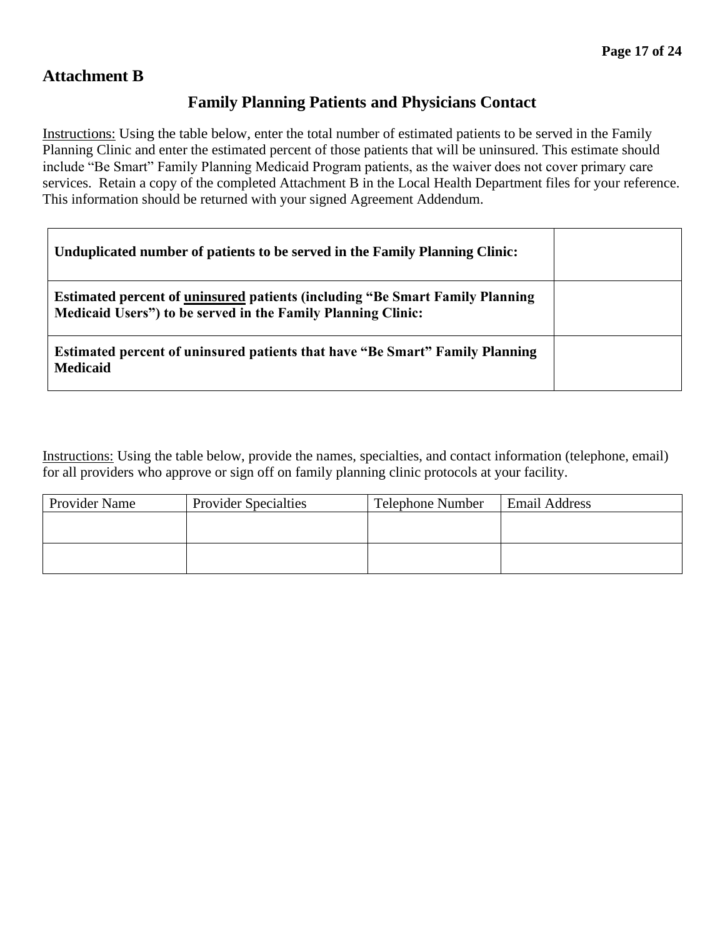## **Attachment B**

## **Family Planning Patients and Physicians Contact**

Instructions: Using the table below, enter the total number of estimated patients to be served in the Family Planning Clinic and enter the estimated percent of those patients that will be uninsured. This estimate should include "Be Smart" Family Planning Medicaid Program patients, as the waiver does not cover primary care services. Retain a copy of the completed Attachment B in the Local Health Department files for your reference. This information should be returned with your signed Agreement Addendum.

| Unduplicated number of patients to be served in the Family Planning Clinic:                                                                         |  |
|-----------------------------------------------------------------------------------------------------------------------------------------------------|--|
| <b>Estimated percent of uninsured patients (including "Be Smart Family Planning</b><br>Medicaid Users") to be served in the Family Planning Clinic: |  |
| <b>Estimated percent of uninsured patients that have "Be Smart" Family Planning</b><br><b>Medicaid</b>                                              |  |

Instructions: Using the table below, provide the names, specialties, and contact information (telephone, email) for all providers who approve or sign off on family planning clinic protocols at your facility.

| Provider Name | <b>Provider Specialties</b> | <b>Telephone Number</b> | <b>Email Address</b> |
|---------------|-----------------------------|-------------------------|----------------------|
|               |                             |                         |                      |
|               |                             |                         |                      |
|               |                             |                         |                      |
|               |                             |                         |                      |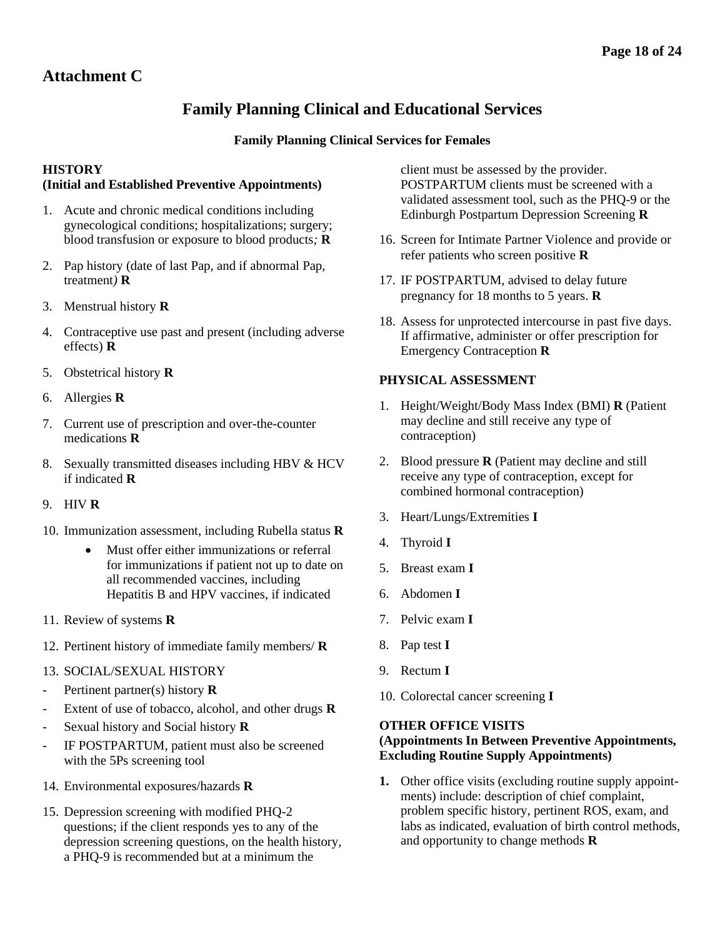## **Attachment C**

## **Family Planning Clinical and Educational Services**

#### **Family Planning Clinical Services for Females**

#### **HISTORY**

#### **(Initial and Established Preventive Appointments)**

- 1. Acute and chronic medical conditions including gynecological conditions; hospitalizations; surgery; blood transfusion or exposure to blood products*;* **R**
- 2. Pap history (date of last Pap, and if abnormal Pap, treatment*)* **R**
- 3. Menstrual history **R**
- 4. Contraceptive use past and present (including adverse effects) **R**
- 5. Obstetrical history **R**
- 6. Allergies **R**
- 7. Current use of prescription and over-the-counter medications **R**
- 8. Sexually transmitted diseases including HBV & HCV if indicated **R**
- 9. HIV **R**
- 10. Immunization assessment, including Rubella status **R**
	- Must offer either immunizations or referral for immunizations if patient not up to date on all recommended vaccines, including Hepatitis B and HPV vaccines, if indicated
- 11. Review of systems **R**
- 12. Pertinent history of immediate family members/ **R**
- 13. SOCIAL/SEXUAL HISTORY
- Pertinent partner(s) history **R**
- Extent of use of tobacco, alcohol, and other drugs **R**
- Sexual history and Social history **R**
- IF POSTPARTUM, patient must also be screened with the 5Ps screening tool
- 14. Environmental exposures/hazards **R**
- 15. Depression screening with modified PHQ-2 questions; if the client responds yes to any of the depression screening questions, on the health history, a PHQ-9 is recommended but at a minimum the

client must be assessed by the provider. POSTPARTUM clients must be screened with a validated assessment tool, such as the PHQ-9 or the Edinburgh Postpartum Depression Screening **R**

- 16. Screen for Intimate Partner Violence and provide or refer patients who screen positive **R**
- 17. IF POSTPARTUM, advised to delay future pregnancy for 18 months to 5 years. **R**
- 18. Assess for unprotected intercourse in past five days. If affirmative, administer or offer prescription for Emergency Contraception **R**

#### **PHYSICAL ASSESSMENT**

- 1. Height/Weight/Body Mass Index (BMI) **R** (Patient may decline and still receive any type of contraception)
- 2. Blood pressure **R** (Patient may decline and still receive any type of contraception, except for combined hormonal contraception)
- 3. Heart/Lungs/Extremities **I**
- 4. Thyroid **I**
- 5. Breast exam **I**
- 6. Abdomen **I**
- 7. Pelvic exam **I**
- 8. Pap test **I**
- 9. Rectum **I**
- 10. Colorectal cancer screening **I**

#### **OTHER OFFICE VISITS**

#### **(Appointments In Between Preventive Appointments, Excluding Routine Supply Appointments)**

**1.** Other office visits (excluding routine supply appointments) include: description of chief complaint, problem specific history, pertinent ROS, exam, and labs as indicated, evaluation of birth control methods, and opportunity to change methods **R**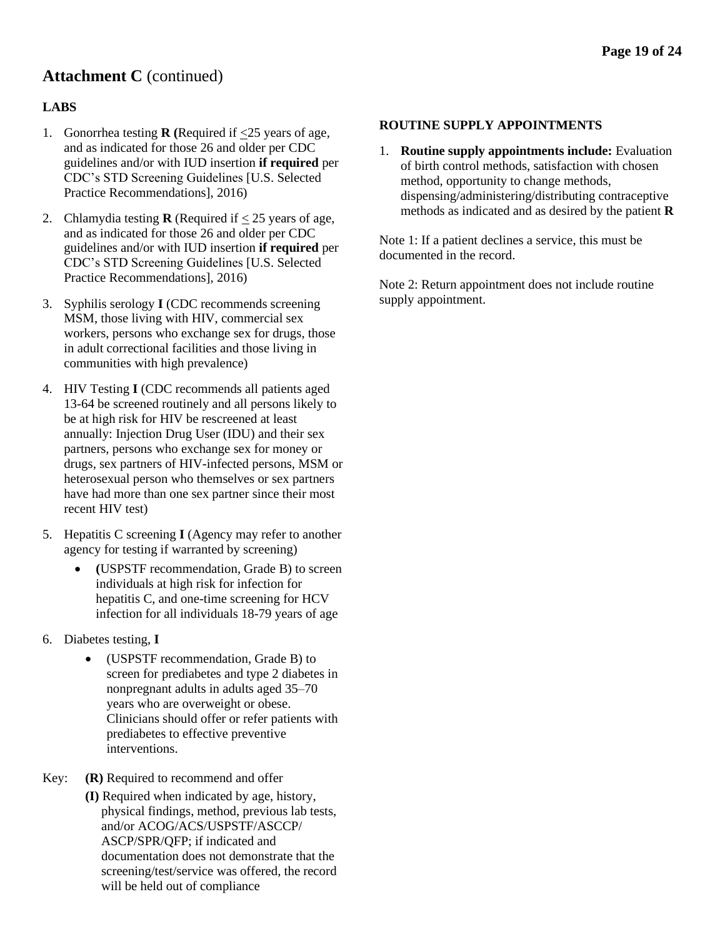### **LABS**

- 1. Gonorrhea testing **R (**Required if <25 years of age, and as indicated for those 26 and older per CDC guidelines and/or with IUD insertion **if required** per CDC's STD Screening Guidelines [U.S. Selected Practice Recommendations], 2016)
- 2. Chlamydia testing **R** (Required if < 25 years of age, and as indicated for those 26 and older per CDC guidelines and/or with IUD insertion **if required** per CDC's STD Screening Guidelines [U.S. Selected Practice Recommendations], 2016)
- 3. Syphilis serology **I** (CDC recommends screening MSM, those living with HIV, commercial sex workers, persons who exchange sex for drugs, those in adult correctional facilities and those living in communities with high prevalence)
- 4. HIV Testing **I** (CDC recommends all patients aged 13-64 be screened routinely and all persons likely to be at high risk for HIV be rescreened at least annually: Injection Drug User (IDU) and their sex partners, persons who exchange sex for money or drugs, sex partners of HIV-infected persons, MSM or heterosexual person who themselves or sex partners have had more than one sex partner since their most recent HIV test)
- 5. Hepatitis C screening **I** (Agency may refer to another agency for testing if warranted by screening)
	- **(**USPSTF recommendation, Grade B) to screen individuals at high risk for infection for hepatitis C, and one-time screening for HCV infection for all individuals 18-79 years of age
- 6. Diabetes testing, **I**
	- (USPSTF recommendation, Grade B) to screen for prediabetes and type 2 diabetes in nonpregnant adults in adults aged 35–70 years who are overweight or obese. Clinicians should offer or refer patients with prediabetes to effective preventive interventions.
- Key: **(R)** Required to recommend and offer
	- **(I)** Required when indicated by age, history, physical findings, method, previous lab tests, and/or ACOG/ACS/USPSTF/ASCCP/ ASCP/SPR/QFP; if indicated and documentation does not demonstrate that the screening/test/service was offered, the record will be held out of compliance

#### **ROUTINE SUPPLY APPOINTMENTS**

1. **Routine supply appointments include:** Evaluation of birth control methods, satisfaction with chosen method, opportunity to change methods, dispensing/administering/distributing contraceptive methods as indicated and as desired by the patient **R**

Note 1: If a patient declines a service, this must be documented in the record.

Note 2: Return appointment does not include routine supply appointment.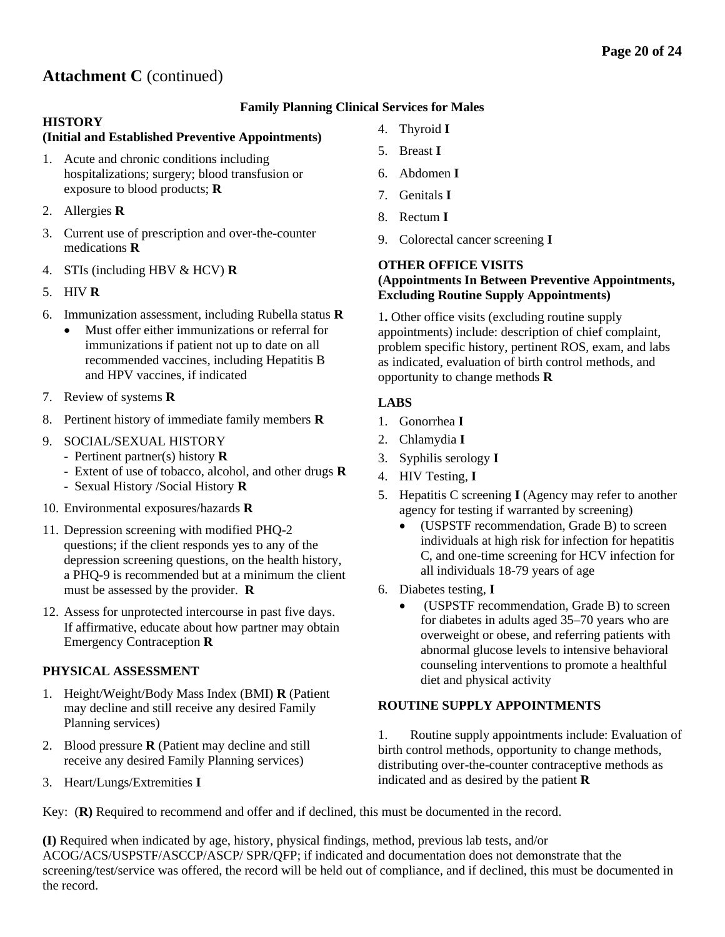#### **Family Planning Clinical Services for Males**

#### **HISTORY**

#### **(Initial and Established Preventive Appointments)**

- 1. Acute and chronic conditions including hospitalizations; surgery; blood transfusion or exposure to blood products; **R**
- 2. Allergies **R**
- 3. Current use of prescription and over-the-counter medications **R**
- 4. STIs (including HBV & HCV) **R**
- 5. HIV **R**
- 6. Immunization assessment, including Rubella status **R**
	- Must offer either immunizations or referral for immunizations if patient not up to date on all recommended vaccines, including Hepatitis B and HPV vaccines, if indicated
- 7. Review of systems **R**
- 8. Pertinent history of immediate family members **R**
- 9. SOCIAL/SEXUAL HISTORY
	- Pertinent partner(s) history **R**
	- Extent of use of tobacco, alcohol, and other drugs **R**
	- Sexual History /Social History **R**
- 10. Environmental exposures/hazards **R**
- 11. Depression screening with modified PHQ-2 questions; if the client responds yes to any of the depression screening questions, on the health history, a PHQ-9 is recommended but at a minimum the client must be assessed by the provider. **R**
- 12. Assess for unprotected intercourse in past five days. If affirmative, educate about how partner may obtain Emergency Contraception **R**

#### **PHYSICAL ASSESSMENT**

- 1. Height/Weight/Body Mass Index (BMI) **R** (Patient may decline and still receive any desired Family Planning services)
- 2. Blood pressure **R** (Patient may decline and still receive any desired Family Planning services)
- 3. Heart/Lungs/Extremities **I**
- 4. Thyroid **I**
- 5. Breast **I**
- 6. Abdomen **I**
- 7. Genitals **I**
- 8. Rectum **I**
- 9. Colorectal cancer screening **I**

#### **OTHER OFFICE VISITS (Appointments In Between Preventive Appointments, Excluding Routine Supply Appointments)**

1**.** Other office visits (excluding routine supply appointments) include: description of chief complaint, problem specific history, pertinent ROS, exam, and labs as indicated, evaluation of birth control methods, and opportunity to change methods **R**

#### **LABS**

- 1. Gonorrhea **I**
- 2. Chlamydia **I**
- 3. Syphilis serology **I**
- 4. HIV Testing, **I**
- 5. Hepatitis C screening **I** (Agency may refer to another agency for testing if warranted by screening)
	- (USPSTF recommendation, Grade B) to screen individuals at high risk for infection for hepatitis C, and one-time screening for HCV infection for all individuals 18-79 years of age
- 6. Diabetes testing, **I**
	- (USPSTF recommendation, Grade B) to screen for diabetes in adults aged 35–70 years who are overweight or obese, and referring patients with abnormal glucose levels to intensive behavioral counseling interventions to promote a healthful diet and physical activity

#### **ROUTINE SUPPLY APPOINTMENTS**

1. Routine supply appointments include: Evaluation of birth control methods, opportunity to change methods, distributing over-the-counter contraceptive methods as indicated and as desired by the patient **R**

Key: (**R)** Required to recommend and offer and if declined, this must be documented in the record.

**(I)** Required when indicated by age, history, physical findings, method, previous lab tests, and/or ACOG/ACS/USPSTF/ASCCP/ASCP/ SPR/QFP; if indicated and documentation does not demonstrate that the screening/test/service was offered, the record will be held out of compliance, and if declined, this must be documented in the record.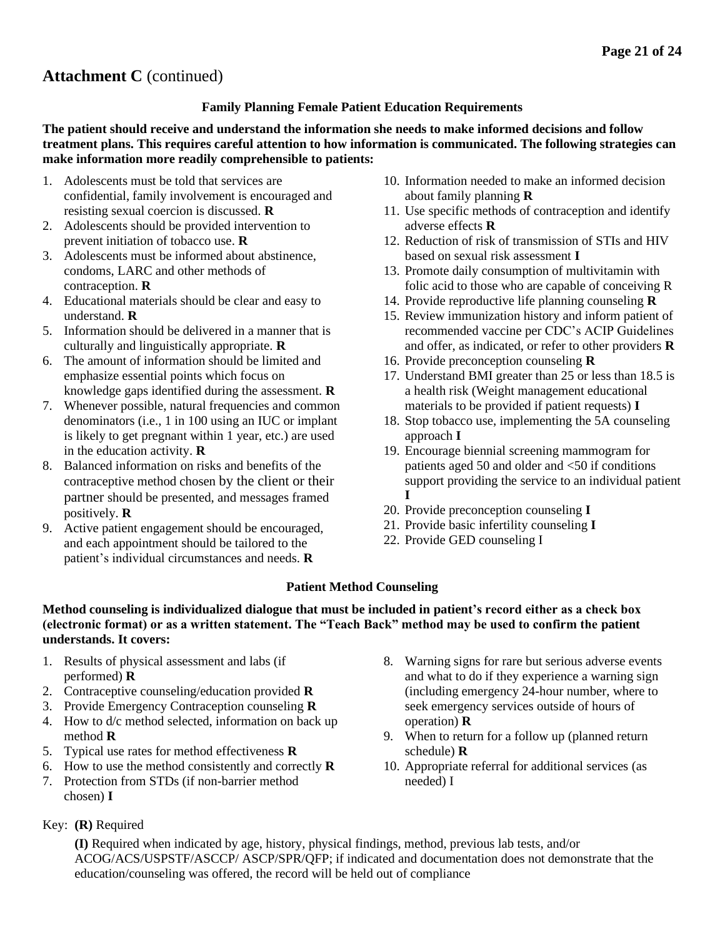#### **Family Planning Female Patient Education Requirements**

#### **The patient should receive and understand the information she needs to make informed decisions and follow treatment plans. This requires careful attention to how information is communicated. The following strategies can make information more readily comprehensible to patients:**

- 1. Adolescents must be told that services are confidential, family involvement is encouraged and resisting sexual coercion is discussed. **R**
- 2. Adolescents should be provided intervention to prevent initiation of tobacco use. **R**
- 3. Adolescents must be informed about abstinence, condoms, LARC and other methods of contraception. **R**
- 4. Educational materials should be clear and easy to understand. **R**
- 5. Information should be delivered in a manner that is culturally and linguistically appropriate. **R**
- 6. The amount of information should be limited and emphasize essential points which focus on knowledge gaps identified during the assessment. **R**
- 7. Whenever possible, natural frequencies and common denominators (i.e., 1 in 100 using an IUC or implant is likely to get pregnant within 1 year, etc.) are used in the education activity. **R**
- 8. Balanced information on risks and benefits of the contraceptive method chosen by the client or their partner should be presented, and messages framed positively. **R**
- 9. Active patient engagement should be encouraged, and each appointment should be tailored to the patient's individual circumstances and needs. **R**
- 10. Information needed to make an informed decision about family planning **R**
- 11. Use specific methods of contraception and identify adverse effects **R**
- 12. Reduction of risk of transmission of STIs and HIV based on sexual risk assessment **I**
- 13. Promote daily consumption of multivitamin with folic acid to those who are capable of conceiving R
- 14. Provide reproductive life planning counseling **R**
- 15. Review immunization history and inform patient of recommended vaccine per CDC's ACIP Guidelines and offer, as indicated, or refer to other providers **R**
- 16. Provide preconception counseling **R**
- 17. Understand BMI greater than 25 or less than 18.5 is a health risk (Weight management educational materials to be provided if patient requests) **I**
- 18. Stop tobacco use, implementing the 5A counseling approach **I**
- 19. Encourage biennial screening mammogram for patients aged 50 and older and <50 if conditions support providing the service to an individual patient **I**
- 20. Provide preconception counseling **I**
- 21. Provide basic infertility counseling **I**
- 22. Provide GED counseling I

#### **Patient Method Counseling**

**Method counseling is individualized dialogue that must be included in patient's record either as a check box (electronic format) or as a written statement. The "Teach Back" method may be used to confirm the patient understands. It covers:**

- 1. Results of physical assessment and labs (if performed) **R**
- 2. Contraceptive counseling/education provided **R**
- 3. Provide Emergency Contraception counseling **R**
- 4. How to d/c method selected, information on back up method **R**
- 5. Typical use rates for method effectiveness **R**
- 6. How to use the method consistently and correctly **R**
- 7. Protection from STDs (if non-barrier method chosen) **I**
- 8. Warning signs for rare but serious adverse events and what to do if they experience a warning sign (including emergency 24-hour number, where to seek emergency services outside of hours of operation) **R**
- 9. When to return for a follow up (planned return schedule) **R**
- 10. Appropriate referral for additional services (as needed) I

Key: **(R)** Required

**(I)** Required when indicated by age, history, physical findings, method, previous lab tests, and/or ACOG/ACS/USPSTF/ASCCP/ ASCP/SPR/QFP; if indicated and documentation does not demonstrate that the education/counseling was offered, the record will be held out of compliance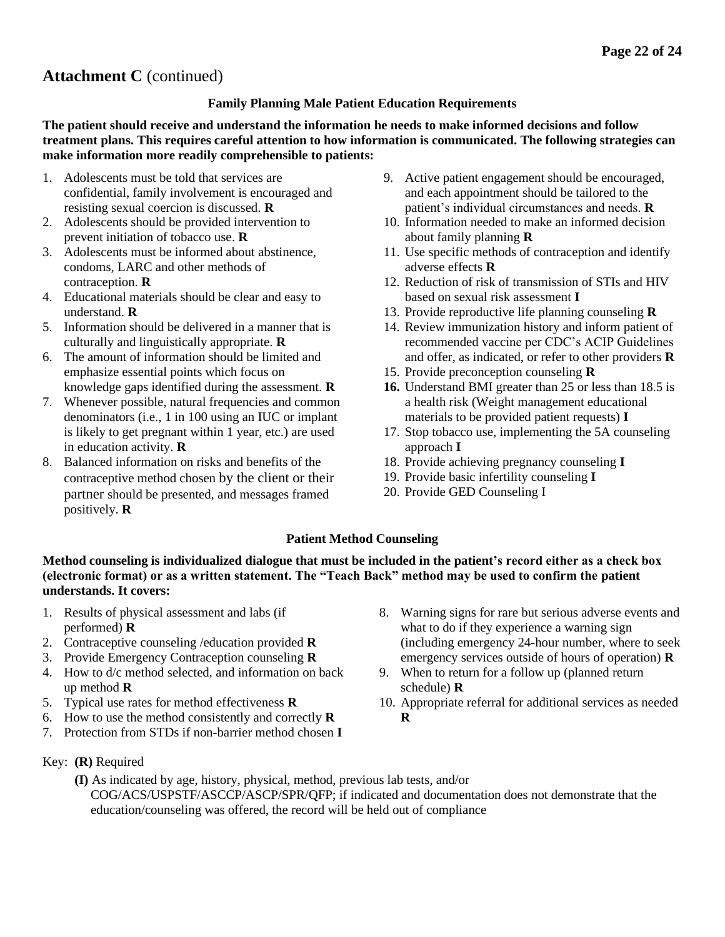#### **Family Planning Male Patient Education Requirements**

#### **The patient should receive and understand the information he needs to make informed decisions and follow treatment plans. This requires careful attention to how information is communicated. The following strategies can make information more readily comprehensible to patients:**

- 1. Adolescents must be told that services are confidential, family involvement is encouraged and resisting sexual coercion is discussed. **R**
- 2. Adolescents should be provided intervention to prevent initiation of tobacco use. **R**
- 3. Adolescents must be informed about abstinence, condoms, LARC and other methods of contraception. **R**
- 4. Educational materials should be clear and easy to understand. **R**
- 5. Information should be delivered in a manner that is culturally and linguistically appropriate. **R**
- 6. The amount of information should be limited and emphasize essential points which focus on knowledge gaps identified during the assessment. **R**
- 7. Whenever possible, natural frequencies and common denominators (i.e., 1 in 100 using an IUC or implant is likely to get pregnant within 1 year, etc.) are used in education activity. **R**
- 8. Balanced information on risks and benefits of the contraceptive method chosen by the client or their partner should be presented, and messages framed positively. **R**
- 9. Active patient engagement should be encouraged, and each appointment should be tailored to the patient's individual circumstances and needs. **R**
- 10. Information needed to make an informed decision about family planning **R**
- 11. Use specific methods of contraception and identify adverse effects **R**
- 12. Reduction of risk of transmission of STIs and HIV based on sexual risk assessment **I**
- 13. Provide reproductive life planning counseling **R**
- 14. Review immunization history and inform patient of recommended vaccine per CDC's ACIP Guidelines and offer, as indicated, or refer to other providers **R**
- 15. Provide preconception counseling **R**
- **16.** Understand BMI greater than 25 or less than 18.5 is a health risk (Weight management educational materials to be provided patient requests) **I**
- 17. Stop tobacco use, implementing the 5A counseling approach **I**
- 18. Provide achieving pregnancy counseling **I**
- 19. Provide basic infertility counseling **I**
- 20. Provide GED Counseling I

#### **Patient Method Counseling**

**Method counseling is individualized dialogue that must be included in the patient's record either as a check box (electronic format) or as a written statement. The "Teach Back" method may be used to confirm the patient understands. It covers:**

- 1. Results of physical assessment and labs (if performed) **R**
- 2. Contraceptive counseling /education provided **R**
- 3. Provide Emergency Contraception counseling **R**
- 4. How to d/c method selected, and information on back up method **R**
- 5. Typical use rates for method effectiveness **R**
- 6. How to use the method consistently and correctly **R**
- 7. Protection from STDs if non-barrier method chosen **I**
- 8. Warning signs for rare but serious adverse events and what to do if they experience a warning sign (including emergency 24-hour number, where to seek emergency services outside of hours of operation) **R**
- 9. When to return for a follow up (planned return schedule) **R**
- 10. Appropriate referral for additional services as needed **R**

- Key: **(R)** Required
	- **(I)** As indicated by age, history, physical, method, previous lab tests, and/or COG/ACS/USPSTF/ASCCP/ASCP/SPR/QFP; if indicated and documentation does not demonstrate that the education/counseling was offered, the record will be held out of compliance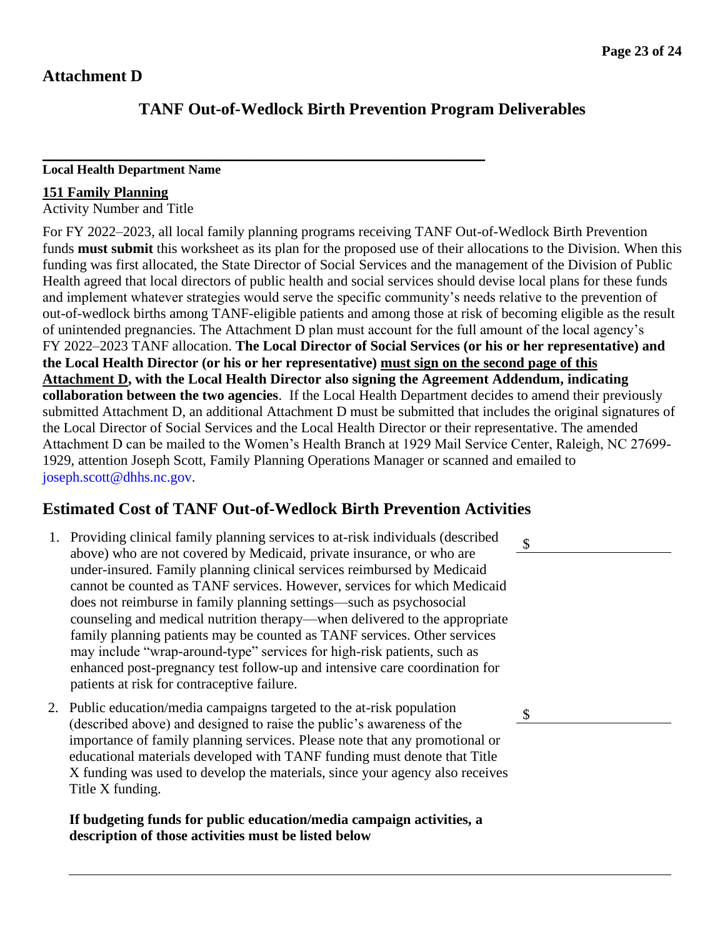## **Attachment D**

## **TANF Out-of-Wedlock Birth Prevention Program Deliverables**

#### **Local Health Department Name**

### **151 Family Planning**

Activity Number and Title

For FY 2022–2023, all local family planning programs receiving TANF Out-of-Wedlock Birth Prevention funds **must submit** this worksheet as its plan for the proposed use of their allocations to the Division. When this funding was first allocated, the State Director of Social Services and the management of the Division of Public Health agreed that local directors of public health and social services should devise local plans for these funds and implement whatever strategies would serve the specific community's needs relative to the prevention of out-of-wedlock births among TANF-eligible patients and among those at risk of becoming eligible as the result of unintended pregnancies. The Attachment D plan must account for the full amount of the local agency's FY 2022–2023 TANF allocation. **The Local Director of Social Services (or his or her representative) and the Local Health Director (or his or her representative) must sign on the second page of this Attachment D, with the Local Health Director also signing the Agreement Addendum, indicating collaboration between the two agencies**. If the Local Health Department decides to amend their previously submitted Attachment D, an additional Attachment D must be submitted that includes the original signatures of the Local Director of Social Services and the Local Health Director or their representative. The amended Attachment D can be mailed to the Women's Health Branch at 1929 Mail Service Center, Raleigh, NC 27699- 1929, attention Joseph Scott, Family Planning Operations Manager or scanned and emailed to [joseph.scott@dhhs.nc.gov.](mailto:joseph.scott@dhhs.nc.gov)

## **Estimated Cost of TANF Out-of-Wedlock Birth Prevention Activities**

**\_\_\_\_\_\_\_\_\_\_\_\_\_\_\_\_\_\_\_\_\_\_\_\_\_\_\_\_\_\_\_\_\_\_\_\_\_\_\_\_\_\_\_\_\_\_\_\_\_\_\_\_\_\_\_\_\_\_\_\_\_\_\_\_\_\_\_\_**

- 1. Providing clinical family planning services to at-risk individuals (described above) who are not covered by Medicaid, private insurance, or who are under-insured. Family planning clinical services reimbursed by Medicaid cannot be counted as TANF services. However, services for which Medicaid does not reimburse in family planning settings—such as psychosocial counseling and medical nutrition therapy—when delivered to the appropriate family planning patients may be counted as TANF services. Other services may include "wrap-around-type" services for high-risk patients, such as enhanced post-pregnancy test follow-up and intensive care coordination for patients at risk for contraceptive failure.
- 2. Public education/media campaigns targeted to the at-risk population (described above) and designed to raise the public's awareness of the importance of family planning services. Please note that any promotional or educational materials developed with TANF funding must denote that Title X funding was used to develop the materials, since your agency also receives Title X funding.

**If budgeting funds for public education/media campaign activities, a description of those activities must be listed below**

\$

\$